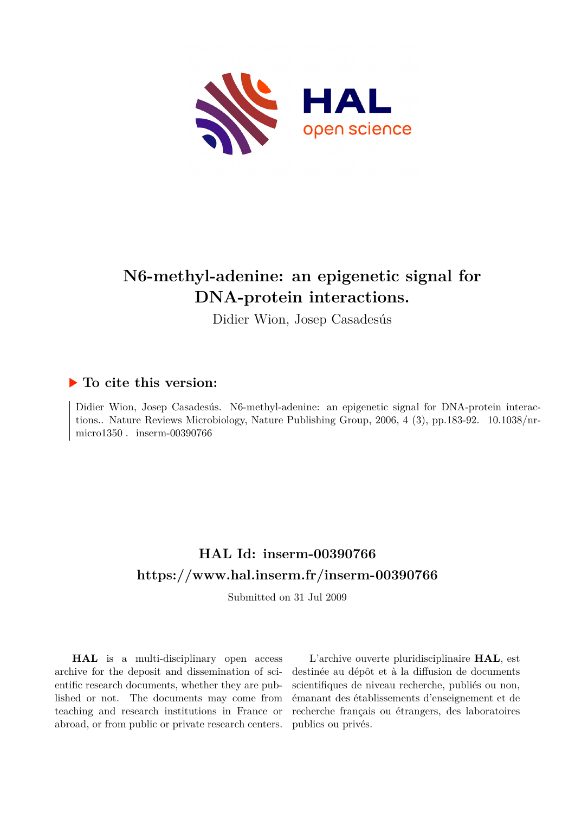

# **N6-methyl-adenine: an epigenetic signal for DNA-protein interactions.**

Didier Wion, Josep Casadesús

# **To cite this version:**

Didier Wion, Josep Casadesús. N6-methyl-adenine: an epigenetic signal for DNA-protein interactions.. Nature Reviews Microbiology, Nature Publishing Group,  $2006, 4$  (3), pp.183-92.  $10.1038/nr$ micro1350. inserm-00390766

# **HAL Id: inserm-00390766 <https://www.hal.inserm.fr/inserm-00390766>**

Submitted on 31 Jul 2009

**HAL** is a multi-disciplinary open access archive for the deposit and dissemination of scientific research documents, whether they are published or not. The documents may come from teaching and research institutions in France or abroad, or from public or private research centers.

L'archive ouverte pluridisciplinaire **HAL**, est destinée au dépôt et à la diffusion de documents scientifiques de niveau recherche, publiés ou non, émanant des établissements d'enseignement et de recherche français ou étrangers, des laboratoires publics ou privés.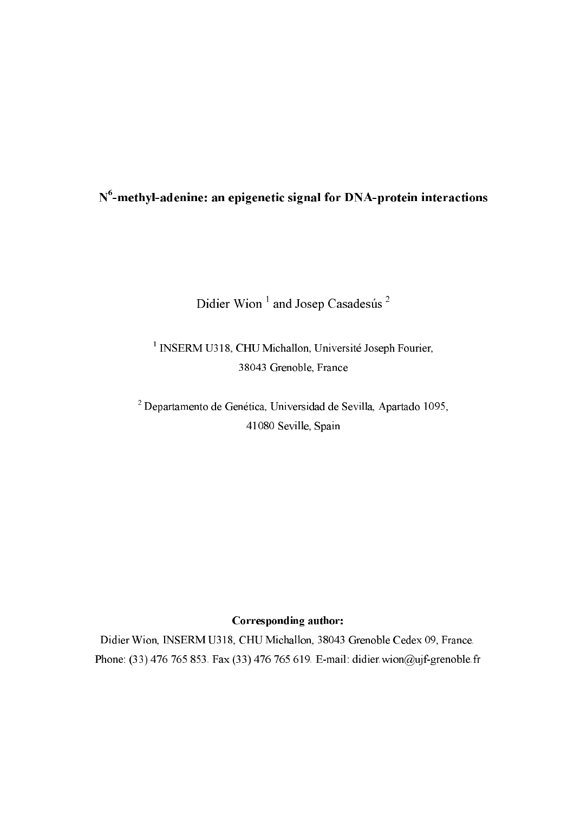# $N<sup>6</sup>$ -methyl-adenine: an epigenetic signal for DNA-protein interactions

# Didier Wion<sup>1</sup> and Josep Casadesús<sup>2</sup>

<sup>1</sup> INSERM U318, CHU Michallon, Université Joseph Fourier, 38043 Grenoble, France

<sup>2</sup> Departamento de Genética, Universidad de Sevilla, Apartado 1095, 41080 Seville, Spain

# Corresponding author:

Didier Wion, INSERM U318, CHU Michallon, 38043 Grenoble Cedex 09, France. Phone: (33) 476 765 853. Fax (33) 476 765 619. E-mail: didier.wion@ujf-grenoble.fr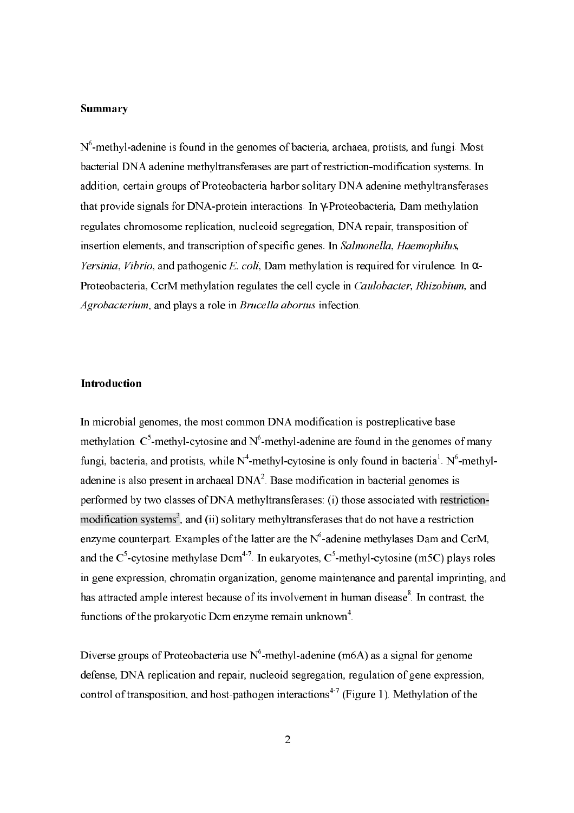#### **Summary**

 $N<sup>6</sup>$ -methyl-adenine is found in the genomes of bacteria, archaea, protists, and fungi, Most bacterial DNA adenine methyltransferases are part of restriction-modification systems. In addition, certain groups of Proteobacteria harbor solitary DNA adenine methyltransferases that provide signals for DNA-protein interactions. In y-Proteobacteria, Dam methylation regulates chromosome replication, nucleoid segregation, DNA repair, transposition of insertion elements, and transcription of specific genes. In Salmonella, Haemophilus, *Yersinia, Vibrio, and pathogenic E. coli, Dam methylation is required for virulence. In*  $\alpha$ *-*Proteobacteria, CcrM methylation regulates the cell cycle in *Caulobacter*, *Rhizobium*, and Agrobacterium, and plays a role in Brucella abortus infection.

#### Introduction

In microbial genomes, the most common DNA modification is postreplicative base methylation.  $C^5$ -methyl-cytosine and  $N^6$ -methyl-adenine are found in the genomes of many fungi, bacteria, and protists, while  $N^4$ -methyl-cytosine is only found in bacteria<sup>1</sup>. N<sup>6</sup>-methyladenine is also present in archaeal  $DNA<sup>2</sup>$ . Base modification in bacterial genomes is performed by two classes of DNA methyltransferases: (i) those associated with restrictionmodification systems<sup>3</sup>, and (ii) solitary methyltransferases that do not have a restriction enzyme counterpart. Examples of the latter are the  $N^6$ -adenine methylases Dam and CcrM. and the  $C^5$ -cytosine methylase Dcm<sup>4-7</sup>. In eukaryotes,  $C^5$ -methyl-cytosine (m5C) plays roles in gene expression, chromatin organization, genome maintenance and parental imprinting, and has attracted ample interest because of its involvement in human disease<sup>8</sup>. In contrast, the functions of the prokaryotic Dcm enzyme remain unknown<sup>4</sup>.

Diverse groups of Proteobacteria use  $N^6$ -methyl-adenine (m6A) as a signal for genome defense. DNA replication and repair, nucleoid segregation, regulation of gene expression, control of transposition, and host-pathogen interactions<sup>4-7</sup> (Figure 1). Methylation of the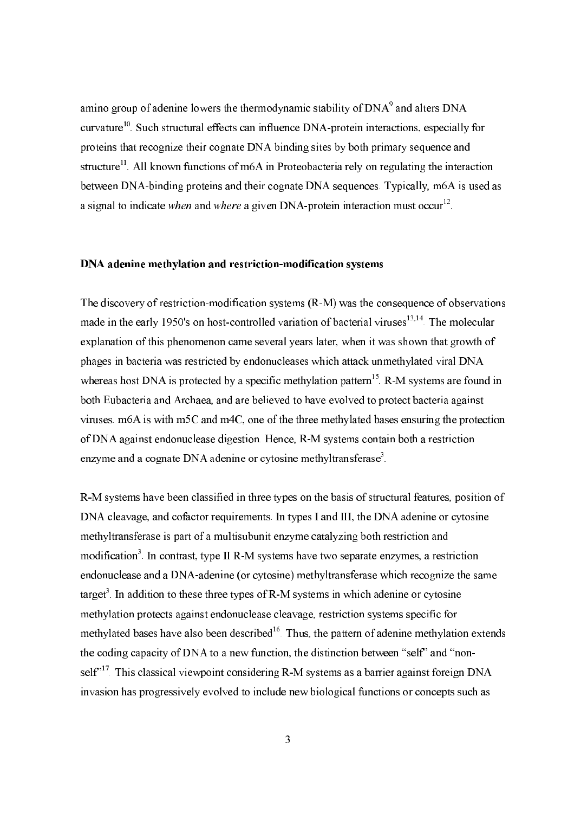amino group of adenine lowers the thermodynamic stability of DNA<sup>9</sup> and alters DNA curvature<sup>10</sup>. Such structural effects can influence DNA-protein interactions, especially for proteins that recognize their cognate DNA binding sites by both primary sequence and structure<sup>11</sup>. All known functions of m6A in Proteobacteria rely on regulating the interaction between DNA-binding proteins and their cognate DNA sequences. Typically, m6A is used as a signal to indicate when and where a given DNA-protein interaction must occur<sup>12</sup>.

### DNA adenine methylation and restriction-modification systems

The discovery of restriction-modification systems  $(R-M)$  was the consequence of observations made in the early 1950's on host-controlled variation of bacterial viruses<sup>13,14</sup>. The molecular explanation of this phenomenon came several years later, when it was shown that growth of phages in bacteria was restricted by endonucleases which attack unmethylated viral DNA whereas host DNA is protected by a specific methylation pattern<sup>15</sup> R-M systems are found in both Eubacteria and Archaea, and are believed to have evolved to protect bacteria against viruses, m6A is with m5C and m4C, one of the three methylated bases ensuring the protection of DNA against endonuclease digestion. Hence, R-M systems contain both a restriction enzyme and a cognate DNA adenine or cytosine methyltransferase<sup>3</sup>.

R-M systems have been classified in three types on the basis of structural features, position of DNA cleavage, and cofactor requirements. In types I and III, the DNA adenine or cytosine methyltransferase is part of a multisubunit enzyme catalyzing both restriction and modification<sup>3</sup>. In contrast, type II R-M systems have two separate enzymes, a restriction endonuclease and a DNA-adenine (or cytosine) methyltransferase which recognize the same target<sup>3</sup>. In addition to these three types of R-M systems in which adenine or cytosine methylation protects against endonuclease cleavage, restriction systems specific for methylated bases have also been described<sup>16</sup>. Thus, the pattern of adenine methylation extends the coding capacity of DNA to a new function, the distinction between "self" and "nonself"<sup>17</sup>. This classical viewpoint considering R-M systems as a barrier against foreign DNA invasion has progressively evolved to include new biological functions or concepts such as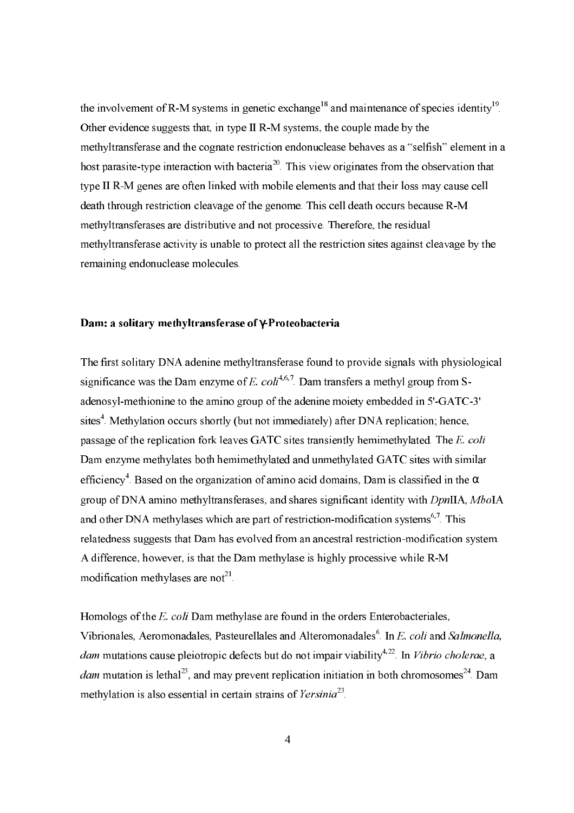the involvement of R-M systems in genetic exchange<sup>18</sup> and maintenance of species identity<sup>19</sup>. Other evidence suggests that, in type II R-M systems, the couple made by the methyltransferase and the cognate restriction endonuclease behaves as a "selfish" element in a host parasite-type interaction with bacteria<sup>20</sup>. This view originates from the observation that type II R-M genes are often linked with mobile elements and that their loss may cause cell death through restriction cleavage of the genome. This cell death occurs because R-M methyltransferases are distributive and not processive. Therefore, the residual methyltransferase activity is unable to protect all the restriction sites against cleavage by the remaining endonuclease molecules.

### Dam: a solitary methyltransferase of y-Proteobacteria

The first solitary DNA adenine methyltransferase found to provide signals with physiological significance was the Dam enzyme of E.  $\text{col}^{4,6,7}$ . Dam transfers a methyl group from Sadenosyl-methionine to the amino group of the adenine moiety embedded in 5'-GATC-3' sites<sup>4</sup>. Methylation occurs shortly (but not immediately) after DNA replication; hence, passage of the replication fork leaves GATC sites transiently hemimethylated. The E. coli Dam enzyme methylates both hemimethylated and unmethylated GATC sites with similar efficiency<sup>4</sup>. Based on the organization of amino acid domains, Dam is classified in the  $\alpha$ group of DNA amino methyltransferases, and shares significant identity with DpnIIA, MboIA and other DNA methylases which are part of restriction-modification systems<sup>6,7</sup>. This relatedness suggests that Dam has evolved from an ancestral restriction-modification system. A difference, however, is that the Dam methylase is highly processive while R-M modification methylases are not<sup>21</sup>.

Homologs of the E. coli Dam methylase are found in the orders Enterobacteriales, Vibrionales, Aeromonadales, Pasteurellales and Alteromonadales<sup>6</sup>. In E. coli and Salmonella, *dam* mutations cause pleiotropic defects but do not impair viability<sup>4,22</sup>. In *Vibrio cholerae*, a *dam* mutation is lethal<sup>23</sup>, and may prevent replication initiation in both chromosomes<sup>24</sup>. Dam methylation is also essential in certain strains of Yersinia<sup>23</sup>.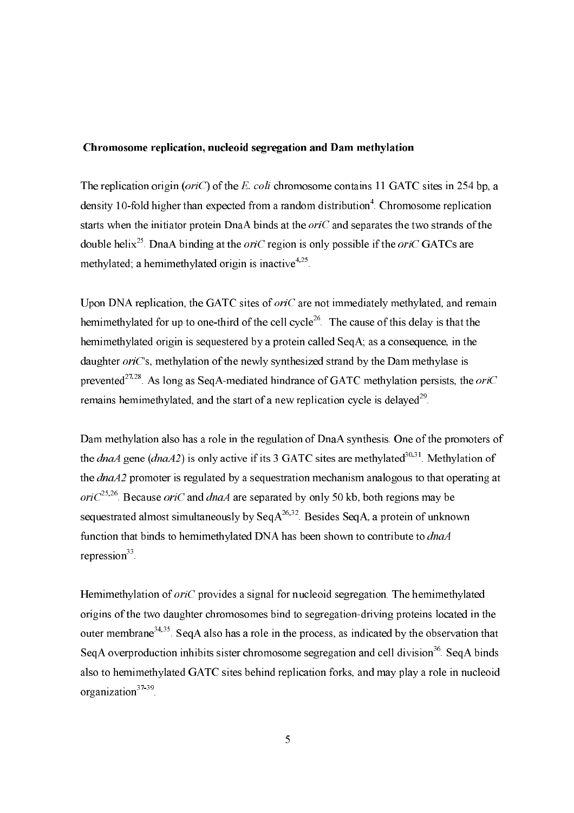#### Chromosome replication, nucleoid segregation and Dam methylation

The replication origin ( $oriC$ ) of the E. coli chromosome contains 11 GATC sites in 254 bp, a density 10-fold higher than expected from a random distribution<sup>4</sup>. Chromosome replication starts when the initiator protein DnaA binds at the  $oriC$  and separates the two strands of the double helix<sup>25</sup>. DnaA binding at the *ori*C region is only possible if the *oriC* GATCs are methylated: a hemimethylated origin is inactive<sup>4,25</sup>

Upon DNA replication, the GATC sites of *oriC* are not immediately methylated, and remain hemimethylated for up to one-third of the cell cycle<sup>26</sup>. The cause of this delay is that the hemimethylated origin is sequestered by a protein called SeqA; as a consequence, in the daughter *ori*C's, methylation of the newly synthesized strand by the Dam methylase is prevented<sup>27,28</sup>. As long as Seq A-mediated hindrance of GATC methylation persists, the *ori*C remains hemimethylated, and the start of a new replication cycle is delayed<sup>29</sup>.

Dam methylation also has a role in the regulation of DnaA synthesis. One of the promoters of the *dnaA* gene (*dnaA2*) is only active if its 3 GATC sites are methylated<sup>30,31</sup>. Methylation of the  $dnaA2$  promoter is regulated by a sequestration mechanism analogous to that operating at ori $C^{25,26}$ . Because oriC and dnaA are separated by only 50 kb, both regions may be sequestrated almost simultaneously by Seq  $A^{26,32}$ . Besides Seq A, a protein of unknown function that binds to hemimethylated DNA has been shown to contribute to *dnaA* repression $33$ .

Hemimethylation of oriC provides a signal for nucleoid segregation. The hemimethylated origins of the two daughter chromosomes bind to segregation-driving proteins located in the outer membrane<sup>34,35</sup>. Seq A also has a role in the process, as indicated by the observation that Seq A overproduction inhibits sister chromosome segregation and cell division<sup>36</sup>. Seq A binds also to hemimethylated GATC sites behind replication forks, and may play a role in nucleoid organization<sup>37-39</sup>.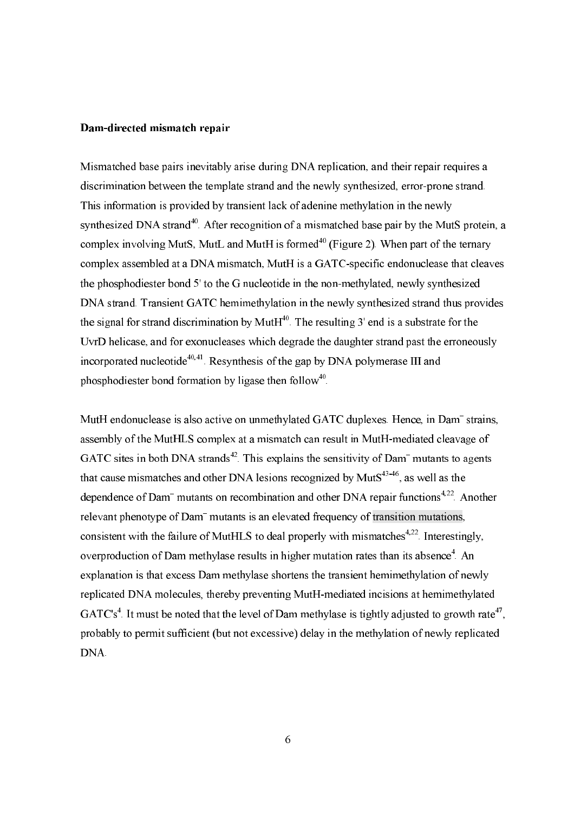#### Dam-directed mismatch repair

Mismatched base pairs inevitably arise during DNA replication, and their repair requires a discrimination between the template strand and the newly synthesized, error-prone strand. This information is provided by transient lack of adenine methylation in the newly synthesized DNA strand<sup>40</sup>. After recognition of a mismatched base pair by the MutS protein, a complex involving MutS, MutL and MutH is formed<sup>40</sup> (Figure 2). When part of the ternary complex assembled at a DNA mismatch, MutH is a GATC-specific endonuclease that cleaves the phosphodiester bond 5' to the G nucleotide in the non-methylated, newly synthesized DNA strand. Transient GATC hemimethylation in the newly synthesized strand thus provides the signal for strand discrimination by MutH $^{40}$ . The resulting 3' end is a substrate for the UvrD helicase, and for exonucleases which degrade the daughter strand past the erroneously incorporated nucleotide<sup>40,41</sup>. Resynthesis of the gap by DNA polymerase III and phosphodiester bond formation by ligase then follow<sup>40</sup>.

MutH endonuclease is also active on unmethylated GATC duplexes. Hence, in Dam<sup>-</sup> strains, assembly of the MutHLS complex at a mismatch can result in MutH-mediated cleavage of GATC sites in both DNA strands<sup>42</sup>. This explains the sensitivity of Dam<sup>-</sup> mutants to agents that cause mismatches and other DNA lesions recognized by Mut $S^{43-46}$ , as well as the dependence of Dam<sup>-</sup> mutants on recombination and other DNA repair functions<sup>4,22</sup>. Another relevant phenotype of Dam<sup>-</sup> mutants is an elevated frequency of transition mutations, consistent with the failure of MutHLS to deal properly with mismatches<sup>4,22</sup>. Interestingly, overproduction of Dam methylase results in higher mutation rates than its absence<sup>4</sup>. An explanation is that excess Dam methylase shortens the transient hemimethylation of newly replicated DNA molecules, thereby preventing MutH-mediated incisions at hemimethylated GATC's<sup>4</sup>. It must be noted that the level of Dam methylase is tightly adjusted to growth rate<sup>47</sup>, probably to permit sufficient (but not excessive) delay in the methylation of newly replicated DNA.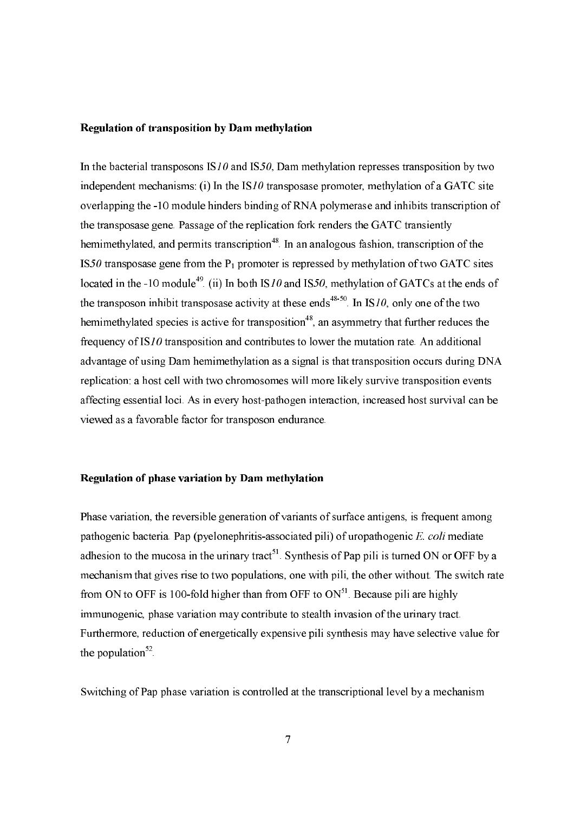#### **Regulation of transposition by Dam methylation**

In the bacterial transposons  $IS10$  and  $IS50$ , Dam methylation represses transposition by two independent mechanisms: (i) In the  $IS10$  transposase promoter, methylation of a GATC site overlapping the -10 module hinders binding of RNA polymerase and inhibits transcription of the transposase gene. Passage of the replication fork renders the GATC transiently hemimethylated, and permits transcription<sup>48</sup> In an analogous fashion, transcription of the IS50 transposase gene from the  $P_1$  promoter is repressed by methylation of two GATC sites located in the -10 module<sup>49</sup>. (ii) In both IS10 and IS50, methylation of GATCs at the ends of the transposon inhibit transposase activity at these ends<sup>48-50</sup>. In IS<sub>10</sub>, only one of the two hemimethylated species is active for transposition<sup>48</sup>, an asymmetry that further reduces the frequency of IS10 transposition and contributes to lower the mutation rate. An additional advantage of using Dam hemimethylation as a signal is that transposition occurs during DNA replication: a host cell with two chromosomes will more likely survive transposition events affecting essential loci. As in every host-pathogen interaction, increased host survival can be viewed as a favorable factor for transposon endurance.

#### Regulation of phase variation by Dam methylation

Phase variation, the reversible generation of variants of surface antigens, is frequent among pathogenic bacteria. Pap (pyelonephritis-associated pili) of uropathogenic E. coli mediate adhesion to the mucosa in the urinary tract<sup>51</sup>. Synthesis of Pap pili is turned ON or OFF by a mechanism that gives rise to two populations, one with pili, the other without. The switch rate from ON to OFF is 100-fold higher than from OFF to  $ON<sup>51</sup>$ . Because pili are highly immunogenic, phase variation may contribute to stealth invasion of the urinary tract. Furthermore, reduction of energetically expensive pili synthesis may have selective value for the population<sup>52</sup>.

Switching of Pap phase variation is controlled at the transcriptional level by a mechanism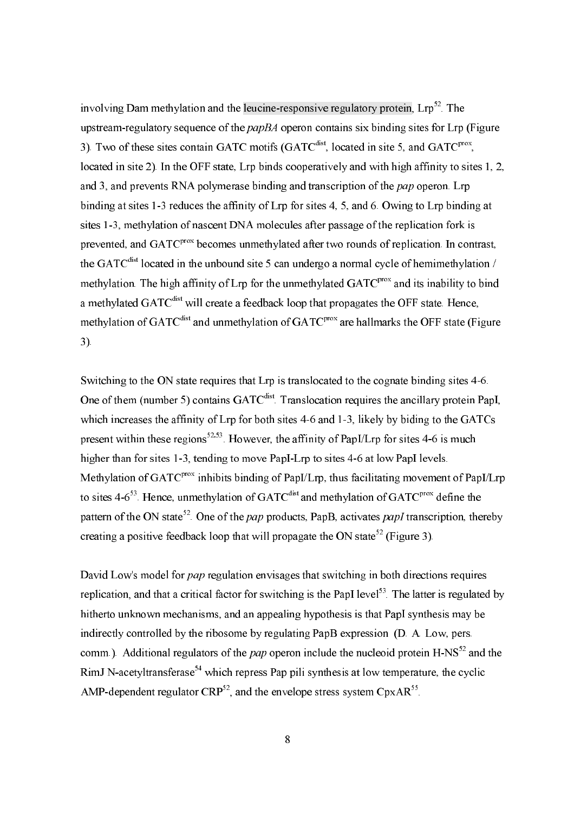involving Dam methylation and the leucine-responsive regulatory protein, Lrp<sup>52</sup>. The upstream-regulatory sequence of the *papBA* operon contains six binding sites for Lrp (Figure 3). Two of these sites contain GATC motifs (GATC<sup>dist</sup>, located in site 5, and GATC<sup>prox</sup>, located in site 2). In the OFF state, Lrp binds cooperatively and with high affinity to sites 1, 2, and 3, and prevents RNA polymerase binding and transcription of the *pap* operon. Lrp binding at sites 1-3 reduces the affinity of Lrp for sites 4, 5, and 6. Owing to Lrp binding at sites 1-3, methylation of nascent DNA molecules after passage of the replication fork is prevented, and GATC<sup>prox</sup> becomes unmethylated after two rounds of replication. In contrast, the GATC<sup>dist</sup> located in the unbound site 5 can undergo a normal cycle of hemimethylation / methylation. The high affinity of Lrp for the unmethylated GATC<sup>prox</sup> and its inability to bind a methylated GATC<sup>dist</sup> will create a feedback loop that propagates the OFF state. Hence, methylation of GATC<sup>dist</sup> and unmethylation of GATC<sup>prox</sup> are hallmarks the OFF state (Figure  $3)$ .

Switching to the ON state requires that Lrp is translocated to the cognate binding sites 4-6. One of them (number 5) contains GATC<sup>dist</sup>. Translocation requires the ancillary protein PapI, which increases the affinity of Lrp for both sites 4-6 and 1-3, likely by biding to the GATCs present within these regions<sup>52,53</sup>. However, the affinity of PapI/Lrp for sites 4-6 is much higher than for sites 1-3, tending to move PapI-Lrp to sites 4-6 at low PapI levels. Methylation of GATC<sup>prox</sup> inhibits binding of PapI/Lrp, thus facilitating movement of PapI/Lrp to sites  $4-6^{53}$ . Hence, unmethylation of GATC<sup>dist</sup> and methylation of GATC<sup>prox</sup> define the pattern of the ON state<sup>52</sup>. One of the *pap* products, PapB, activates *papI* transcription, thereby creating a positive feedback loop that will propagate the ON state<sup>52</sup> (Figure 3).

David Low's model for pap regulation envisages that switching in both directions requires replication, and that a critical factor for switching is the PapI level<sup>53</sup>. The latter is regulated by hitherto unknown mechanisms, and an appealing hypothesis is that PapI synthesis may be indirectly controlled by the ribosome by regulating PapB expression (D. A. Low, pers. comm.). Additional regulators of the *pap* operon include the nucleoid protein  $H-NS^{52}$  and the RimJ N-acetyltransferase<sup>54</sup> which repress Pap pili synthesis at low temperature, the cyclic AMP-dependent regulator  $CRP^{52}$ , and the envelope stress system  $CpxAR^{55}$ .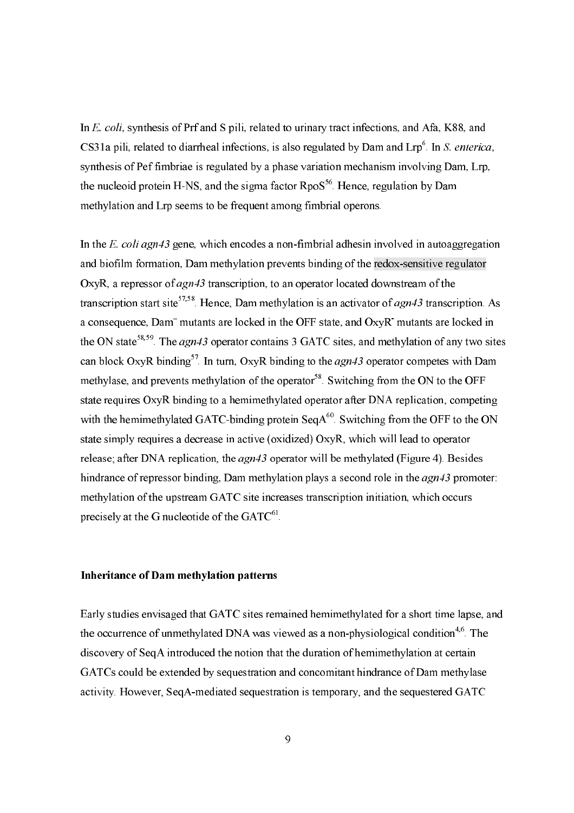In E. coli, synthesis of Prf and S pili, related to urinary tract infections, and Afa, K88, and CS31a pili, related to diarrheal infections, is also regulated by Dam and Lrp<sup>6</sup>. In S. enterica, synthesis of Pef fimbriae is regulated by a phase variation mechanism involving Dam, Lrp. the nucleoid protein H-NS, and the sigma factor RpoS<sup>56</sup>. Hence, regulation by Dam methylation and Lrp seems to be frequent among fimbrial operons.

In the E. coli agn43 gene, which encodes a non-fimbrial adhesin involved in autoaggregation and biofilm formation, Dam methylation prevents binding of the redox-sensitive regulator OxyR, a repressor of agn43 transcription, to an operator located downstream of the transcription start site<sup>57,58</sup>. Hence, Dam methylation is an activator of  $agn43$  transcription. As a consequence, Dam<sup>-</sup> mutants are locked in the OFF state, and OxyR mutants are locked in the ON state<sup>58,59</sup>. The  $agn43$  operator contains 3 GATC sites, and methylation of any two sites can block OxyR binding<sup>57</sup>. In turn, OxyR binding to the  $agn43$  operator competes with Dam methylase, and prevents methylation of the operator<sup>58</sup>. Switching from the ON to the OFF state requires OxyR binding to a hemimethylated operator after DNA replication, competing with the hemimethylated GATC-binding protein  $\text{SeqA}^{60}$ . Switching from the OFF to the ON state simply requires a decrease in active (oxidized) OxyR, which will lead to operator release; after DNA replication, the  $agn43$  operator will be methylated (Figure 4). Besides hindrance of repressor binding, Dam methylation plays a second role in the *agn43* promoter: methylation of the upstream GATC site increases transcription initiation, which occurs precisely at the G nucleotide of the GATC<sup>61</sup>.

## **Inheritance of Dam methylation patterns**

Early studies envisaged that GATC sites remained hemimethylated for a short time lapse, and the occurrence of unmethylated DNA was viewed as a non-physiological condition<sup>4,6</sup>. The discovery of Seq A introduced the notion that the duration of hemimethylation at certain GATCs could be extended by sequestration and concomitant hindrance of Dam methylase activity. However, Seq A-mediated sequestration is temporary, and the sequestered GATC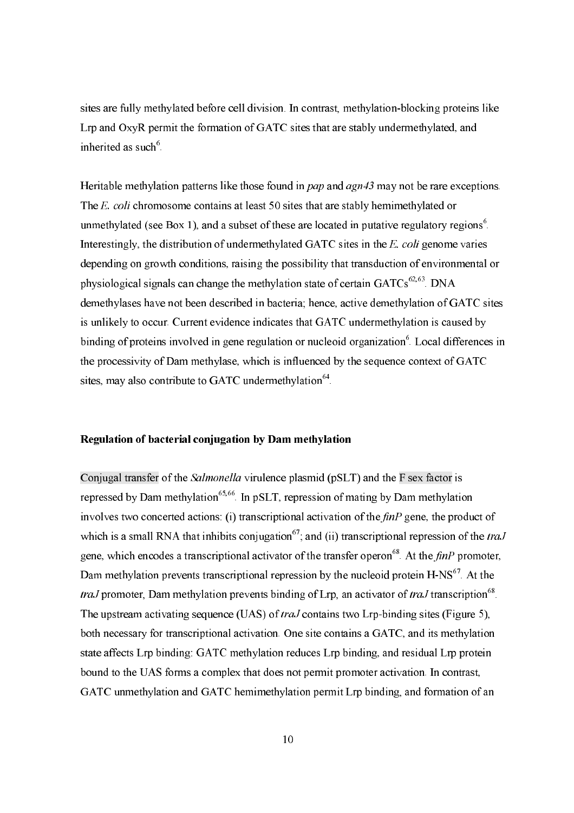sites are fully methylated before cell division. In contrast, methylation-blocking proteins like Lrp and OxyR permit the formation of GATC sites that are stably undermethylated, and inherited as such<sup>6</sup>.

Heritable methylation patterns like those found in  $pap$  and  $agn43$  may not be rare exceptions. The E. coli chromosome contains at least 50 sites that are stably hemimethylated or unmethylated (see Box 1), and a subset of these are located in putative regulatory regions<sup>6</sup>. Interestingly, the distribution of undermethylated GATC sites in the E. coli genome varies depending on growth conditions, raising the possibility that transduction of environmental or physiological signals can change the methylation state of certain  $GATCs^{62,63}$ . DNA demethylases have not been described in bacteria; hence, active demethylation of GATC sites is unlikely to occur. Current evidence indicates that GATC undermethylation is caused by binding of proteins involved in gene regulation or nucleoid organization<sup>6</sup>. Local differences in the processivity of Dam methylase, which is influenced by the sequence context of GATC sites, may also contribute to GATC undermethylation<sup>64</sup>.

### Regulation of bacterial coniugation by Dam methylation

Conjugal transfer of the Salmonella virulence plasmid (pSLT) and the F sex factor is repressed by Dam methylation<sup>65,66</sup>. In pSLT, repression of mating by Dam methylation involves two concerted actions: (i) transcriptional activation of the  $finP$  gene, the product of which is a small RNA that inhibits conjugation<sup>67</sup>; and (ii) transcriptional repression of the *traJ* gene, which encodes a transcriptional activator of the transfer operon<sup>68</sup>. At the  $finP$  promoter, Dam methylation prevents transcriptional repression by the nucleoid protein H-NS<sup>67</sup>. At the *traJ* promoter, Dam methylation prevents binding of Lrp, an activator of *traJ* transcription<sup>68</sup>. The upstream activating sequence (UAS) of *traJ* contains two Lrp-binding sites (Figure 5), both necessary for transcriptional activation. One site contains a GATC, and its methylation state affects Lrp binding: GATC methylation reduces Lrp binding, and residual Lrp protein bound to the UAS forms a complex that does not permit promoter activation. In contrast, GATC unmethylation and GATC hemimethylation permit Lrp binding, and formation of an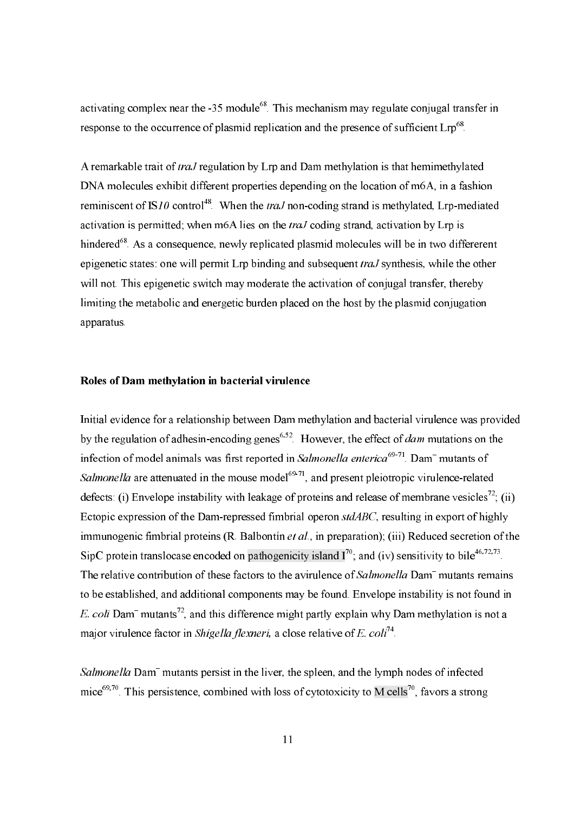activating complex near the -35 module<sup>68</sup>. This mechanism may regulate conjugal transfer in response to the occurrence of plasmid replication and the presence of sufficient Lrp<sup>68</sup>.

A remarkable trait of *traJ* regulation by Lrp and Dam methylation is that hemimethylated DNA molecules exhibit different properties depending on the location of m6A, in a fashion reminiscent of IS10 control<sup>48</sup>. When the *traJ* non-coding strand is methylated, Lrp-mediated activation is permitted; when m6A lies on the *traJ* coding strand, activation by Lrp is hindered<sup>68</sup>. As a consequence, newly replicated plasmid molecules will be in two differerent epigenetic states: one will permit Lrp binding and subsequent traJ synthesis, while the other will not. This epigenetic switch may moderate the activation of conjugal transfer, thereby limiting the metabolic and energetic burden placed on the host by the plasmid conjugation apparatus.

#### Roles of Dam methylation in bacterial virulence

Initial evidence for a relationship between Dam methylation and bacterial virulence was provided by the regulation of adhesin-encoding genes<sup>6,52</sup>. However, the effect of *dam* mutations on the infection of model animals was first reported in Salmonella enterica<sup>69-71</sup>. Dam<sup>-</sup> mutants of Salmonella are attenuated in the mouse model<sup>69-71</sup>, and present pleiotropic virulence-related defects: (i) Envelope instability with leakage of proteins and release of membrane vesicles<sup>72</sup>; (ii) Ectopic expression of the Dam-repressed fimbrial operon stdABC, resulting in export of highly immunogenic fimbrial proteins  $(R$ . Balbontin *et al.*, in preparation); (iii) Reduced secretion of the SipC protein translocase encoded on pathogenicity island  $I^{70}$ ; and (iv) sensitivity to bile<sup>46,72,73</sup>. The relative contribution of these factors to the avirulence of Salmonella Dam<sup>-</sup> mutants remains to be established, and additional components may be found. Envelope instability is not found in E. coli Dam<sup>-</sup> mutants<sup>72</sup>, and this difference might partly explain why Dam methylation is not a major virulence factor in *Shigella flexneri*, a close relative of E.  $\text{col}^{74}$ .

Salmonella Dam<sup>-</sup> mutants persist in the liver, the spleen, and the lymph nodes of infected mice<sup>69,70</sup>. This persistence, combined with loss of cytotoxicity to M cells<sup>70</sup>, favors a strong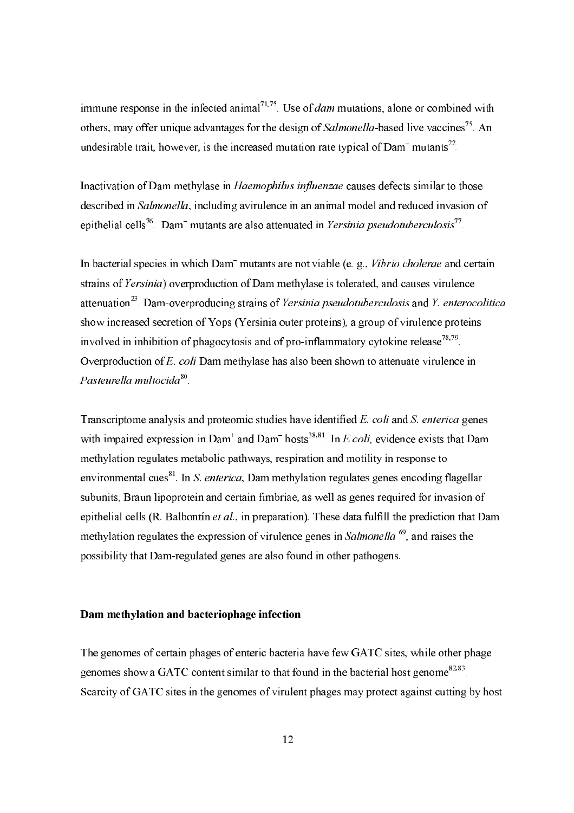immune response in the infected animal<sup>71,75</sup>. Use of *dam* mutations, alone or combined with others, may offer unique advantages for the design of Salmonella-based live vaccines<sup>75</sup>. An undesirable trait, however, is the increased mutation rate typical of  $Dam$ <sup>-</sup> mutants<sup>22</sup>.

Inactivation of Dam methylase in Haemophilus influenzae causes defects similar to those described in Salmonella, including avirulence in an animal model and reduced invasion of epithelial cells<sup>76</sup>. Dam<sup>-</sup> mutants are also attenuated in Yersinia pseudotuberculosis<sup>77</sup>.

In bacterial species in which Dam<sup>-</sup> mutants are not viable (e. g., *Vibrio cholerae* and certain strains of Yersinia) overproduction of Dam methylase is tolerated, and causes virulence attenuation<sup>23</sup>. Dam-overproducing strains of Yersinia pseudotuberculosis and Y. enterocolitica show increased secretion of Yops (Yersinia outer proteins), a group of virulence proteins involved in inhibition of phagocytosis and of pro-inflammatory cytokine release<sup>78,79</sup>. Overproduction of E. coli Dam methylase has also been shown to attenuate virulence in Pasteurella multocida<sup>80</sup>.

Transcriptome analysis and proteomic studies have identified E. coli and S. enterica genes with impaired expression in Dam<sup>+</sup> and Dam<sup>-</sup> hosts<sup>38,81</sup>. In *E coli*, evidence exists that Dam methylation regulates metabolic pathways, respiration and motility in response to environmental cues<sup>81</sup>. In S. enterica, Dam methylation regulates genes encoding flagellar subunits, Braun lipoprotein and certain fimbriae, as well as genes required for invasion of epithelial cells (R. Balbontin *et al.*, in preparation). These data fulfill the prediction that Dam methylation regulates the expression of virulence genes in Salmonella<sup>69</sup>, and raises the possibility that Dam-regulated genes are also found in other pathogens.

#### Dam methylation and bacteriophage infection

The genomes of certain phages of enteric bacteria have few GATC sites, while other phage genomes show a GATC content similar to that found in the bacterial host genome  $82,83$ . Scarcity of GATC sites in the genomes of virulent phages may protect against cutting by host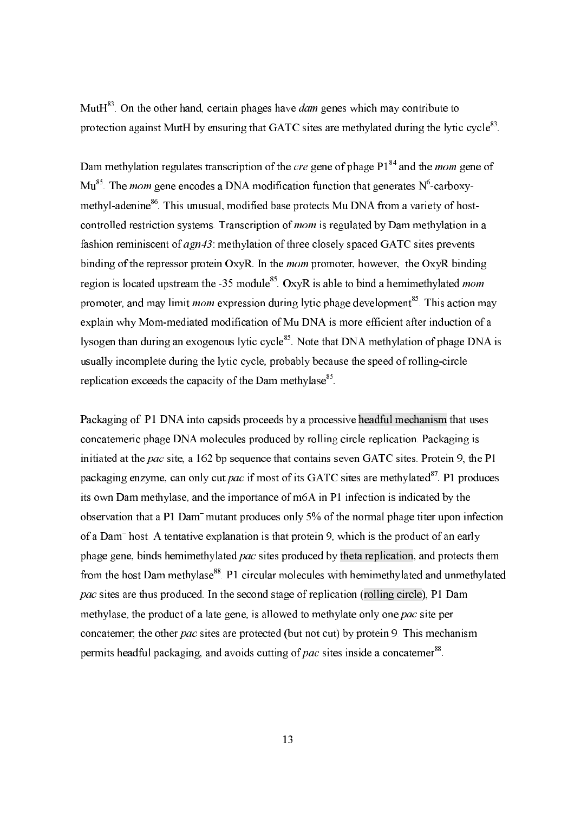Mut $H^{83}$ . On the other hand, certain phages have *dam* genes which may contribute to protection against MutH by ensuring that GATC sites are methylated during the lytic cycle<sup>83</sup>.

Dam methylation regulates transcription of the *cre* gene of phage  $P1^{84}$  and the *mom* gene of  $\mathrm{Mu}^{85}$ . The *mom* gene encodes a DNA modification function that generates  $\mathrm{N}^6$ -carboxymethyl-adenine<sup>86</sup>. This unusual, modified base protects Mu DNA from a variety of hostcontrolled restriction systems. Transcription of *mom* is regulated by Dam methylation in a fashion reminiscent of *agn43* methylation of three closely spaced GATC sites prevents binding of the repressor protein OxyR. In the *mom* promoter, however, the OxyR binding region is located upstream the -35 module<sup>85</sup> OxyR is able to bind a hemimethylated *mom* promoter, and may limit *mom* expression during lytic phage development<sup>85</sup>. This action may explain why Mom-mediated modification of Mu DNA is more efficient after induction of a lysogen than during an exogenous lytic cycle<sup>85</sup>. Note that DNA methylation of phage DNA is usually incomplete during the lytic cycle, probably because the speed of rolling-circle replication exceeds the capacity of the Dam methylase<sup>85</sup>.

Packaging of P1 DNA into capsids proceeds by a processive headful mechanism that uses concatemeric phage DNA molecules produced by rolling circle replication. Packaging is initiated at the pac site, a 162 bp sequence that contains seven GATC sites. Protein 9, the P1 packaging enzyme, can only cut pac if most of its GATC sites are methylated<sup>87</sup>. P1 produces its own Dam methylase, and the importance of m6A in P1 infection is indicated by the observation that a P1 Dam<sup>-</sup> mutant produces only 5% of the normal phage titer upon infection of a Dam<sup>-</sup> host. A tentative explanation is that protein 9, which is the product of an early phage gene, binds hemimethylated pac sites produced by theta replication, and protects them from the host Dam methylase<sup>88</sup>. P1 circular molecules with hemimethylated and unmethylated *pac* sites are thus produced. In the second stage of replication (rolling circle), P1 Dam methylase, the product of a late gene, is allowed to methylate only one pac site per concatemer, the other pac sites are protected (but not cut) by protein 9. This mechanism permits headful packaging, and avoids cutting of pac sites inside a concatemer<sup>88</sup>.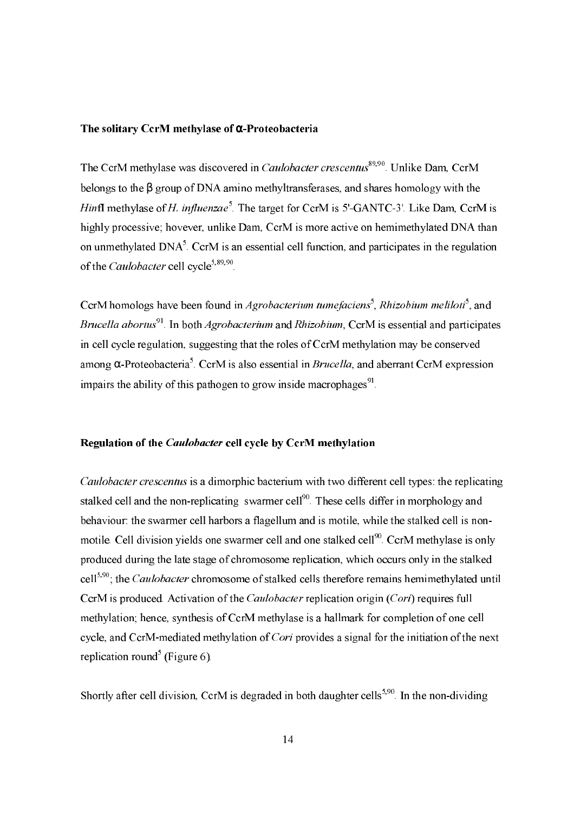### The solitary CcrM methylase of  $\alpha$ -Proteobacteria

The CcrM methylase was discovered in *Caulobacter crescentus*<sup>89,90</sup> Unlike Dam, CcrM belongs to the  $\beta$  group of DNA amino methyltransferases, and shares homology with the *Hinfl* methylase of *H. influenzae*<sup>5</sup>. The target for CcrM is 5'-GANTC-3'. Like Dam, CcrM is highly processive; hovever, unlike Dam, CcrM is more active on hemimethylated DNA than on unmethylated DNA<sup>5</sup>. CcrM is an essential cell function, and participates in the regulation of the *Caulobacter* cell cycle<sup>5,89,90</sup>.

CcrM homologs have been found in *Agrobacterium tumefaciens*<sup>5</sup>. Rhizobium meliloti<sup>5</sup>, and Brucella abortus<sup>91</sup>. In both *Agrobacterium* and *Rhizobium*, CcrM is essential and participates in cell cycle regulation, suggesting that the roles of CcrM methylation may be conserved among  $\alpha$ -Proteobacteria<sup>5</sup>. CcrM is also essential in *Brucella*, and aberrant CcrM expression impairs the ability of this pathogen to grow inside macrophages<sup>91</sup>.

### Regulation of the *Caulobacter* cell cycle by CcrM methylation

*Caulobacter crescentus* is a dimorphic bacterium with two different cell types: the replicating stalked cell and the non-replicating swarmer cell<sup>90</sup>. These cells differ in morphology and behaviour: the swarmer cell harbors a flagellum and is motile, while the stalked cell is nonmotile. Cell division yields one swarmer cell and one stalked cell<sup>90</sup>. CcrM methylase is only produced during the late stage of chromosome replication, which occurs only in the stalked cell<sup>5,90</sup>; the *Caulobacter* chromosome of stalked cells therefore remains hemimethylated until CcrM is produced. Activation of the *Caulobacter* replication origin (*Cori*) requires full methylation; hence, synthesis of CcrM methylase is a hallmark for completion of one cell cycle, and CcrM-mediated methylation of Cori provides a signal for the initiation of the next replication round<sup>5</sup> (Figure 6).

Shortly after cell division, CcrM is degraded in both daughter cells<sup>5,90</sup>. In the non-dividing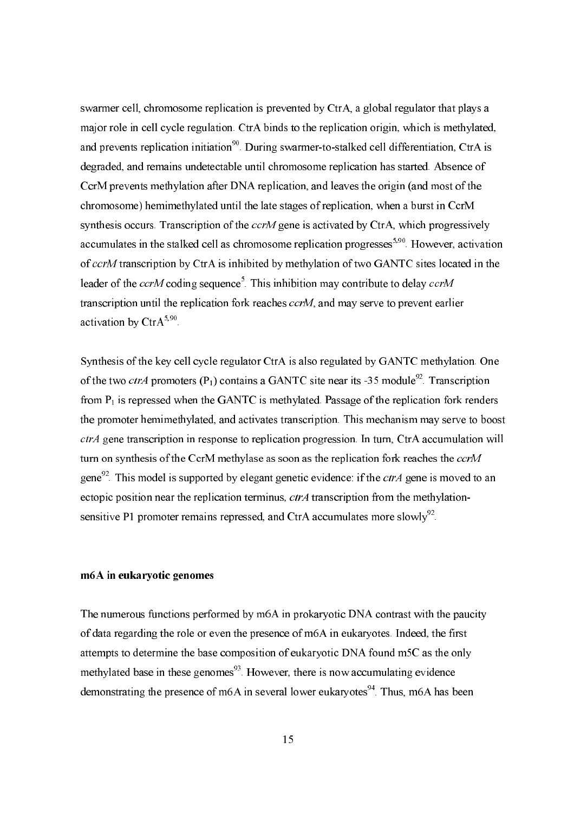swarmer cell, chromosome replication is prevented by CtrA, a global regulator that plays a major role in cell cycle regulation. CtrA binds to the replication origin, which is methylated, and prevents replication initiation<sup>90</sup>. During swarmer-to-stalked cell differentiation, CtrA is degraded, and remains undetectable until chromosome replication has started. Absence of CcrM prevents methylation after DNA replication, and leaves the origin (and most of the chromosome) hemimethylated until the late stages of replication, when a burst in CcrM synthesis occurs. Transcription of the *ccrM* gene is activated by CtrA, which progressively accumulates in the stalked cell as chromosome replication progresses<sup>5,90</sup>. However, activation of ccrM transcription by CtrA is inhibited by methylation of two GANTC sites located in the leader of the ccrM coding sequence<sup>5</sup>. This inhibition may contribute to delay ccrM transcription until the replication fork reaches *ccrM*, and may serve to prevent earlier activation by CtrA<sup>5,90</sup>.

Synthesis of the key cell cycle regulator CtrA is also regulated by GANTC methylation. One of the two *ctrA* promoters  $(P_1)$  contains a GANTC site near its -35 module<sup>92</sup>. Transcription from  $P_1$  is repressed when the GANTC is methylated. Passage of the replication fork renders the promoter hemimethylated, and activates transcription. This mechanism may serve to boost *ctrA* gene transcription in response to replication progression. In turn, CtrA accumulation will turn on synthesis of the CcrM methylase as soon as the replication fork reaches the ccrM gene<sup>92</sup>. This model is supported by elegant genetic evidence: if the *ctrA* gene is moved to an ectopic position near the replication terminus, *ctrA* transcription from the methylationsensitive P1 promoter remains repressed, and CtrA accumulates more slowly<sup>92</sup>.

## m6A in eukaryotic genomes

The numerous functions performed by m6A in prokaryotic DNA contrast with the paucity of data regarding the role or even the presence of m6A in eukaryotes. Indeed, the first attempts to determine the base composition of eukaryotic DNA found m5C as the only methylated base in these genomes<sup>93</sup>. However, there is now accumulating evidence demonstrating the presence of m6A in several lower eukaryotes<sup>94</sup>. Thus, m6A has been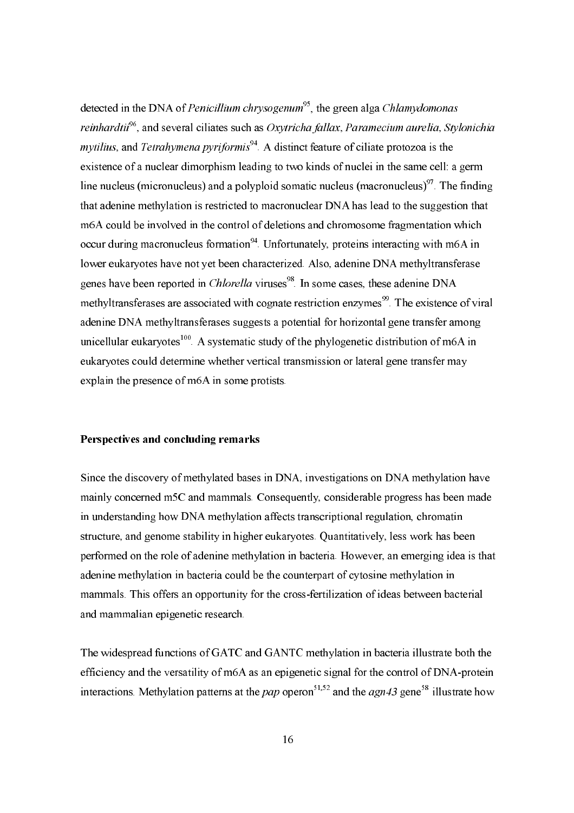detected in the DNA of *Penicillium chrysogenum*<sup>95</sup>, the green alga *Chlamydomonas* reinhardtii<sup>96</sup>, and several ciliates such as Oxytricha fallax, Paramecium aurelia, Stylonichia *mytilius*, and *Tetrahymena pyriformis*<sup>94</sup>. A distinct feature of ciliate protozoa is the existence of a nuclear dimorphism leading to two kinds of nuclei in the same cell: a germ line nucleus (micronucleus) and a polyploid somatic nucleus (macronucleus) $97$ . The finding that adenine methylation is restricted to macronuclear DNA has lead to the suggestion that m6A could be involved in the control of deletions and chromosome fragmentation which occur during macronucleus formation<sup>94</sup>. Unfortunately, proteins interacting with m6A in lower eukaryotes have not yet been characterized. Also, adenine DNA methyltransferase genes have been reported in *Chlorella* viruses<sup>98</sup>. In some cases, these adenine DNA methyltransferases are associated with cognate restriction enzymes<sup>99</sup>. The existence of viral adenine DNA methyltransferases suggests a potential for horizontal gene transfer among unicellular eukaryotes<sup>100</sup>. A systematic study of the phylogenetic distribution of m6A in eukaryotes could determine whether vertical transmission or lateral gene transfer may explain the presence of m6A in some protists.

### Perspectives and concluding remarks

Since the discovery of methylated bases in DNA, investigations on DNA methylation have mainly concerned m5C and mammals. Consequently, considerable progress has been made in understanding how DNA methylation affects transcriptional regulation, chromatin structure, and genome stability in higher eukaryotes. Quantitatively, less work has been performed on the role of adenine methylation in bacteria. However, an emerging idea is that adenine methylation in bacteria could be the counterpart of cytosine methylation in mammals. This offers an opportunity for the cross-fertilization of ideas between bacterial and mammalian epigenetic research.

The widespread functions of GATC and GANTC methylation in bacteria illustrate both the efficiency and the versatility of m6A as an epigenetic signal for the control of DNA-protein interactions. Methylation patterns at the *pap* operon<sup>51,52</sup> and the *agn43* gene<sup>58</sup> illustrate how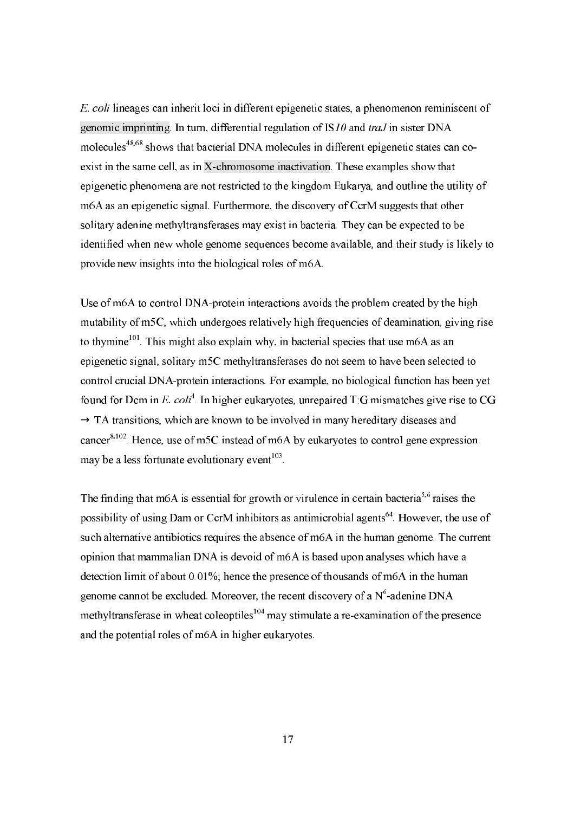*E. coli* lineages can inherit loci in different epigenetic states, a phenomenon reminiscent of genomic imprinting. In turn, differential regulation of  $IS10$  and traJ in sister DNA molecules<sup>48,68</sup> shows that bacterial DNA molecules in different epigenetic states can coexist in the same cell, as in X-chromosome inactivation. These examples show that epigenetic phenomena are not restricted to the kingdom Eukarya, and outline the utility of m6A as an epigenetic signal. Furthermore, the discovery of CcrM suggests that other solitary adenine methyltransferases may exist in bacteria. They can be expected to be identified when new whole genome sequences become available, and their study is likely to provide new insights into the biological roles of m6A.

Use of m6A to control DNA-protein interactions avoids the problem created by the high mutability of m5C, which undergoes relatively high frequencies of deamination, giving rise to thymine<sup>101</sup>. This might also explain why, in bacterial species that use m6A as an epigenetic signal, solitary m5C methyltransferases do not seem to have been selected to control crucial DNA-protein interactions. For example, no biological function has been yet found for Dcm in E. coli<sup>4</sup>. In higher eukaryotes, unrepaired T:G mismatches give rise to CG  $\rightarrow$  TA transitions, which are known to be involved in many hereditary diseases and cancer<sup>8,102</sup>. Hence, use of m5C instead of m6A by eukaryotes to control gene expression may be a less fortunate evolutionary event<sup>103</sup>.

The finding that m6A is essential for growth or virulence in certain bacteria<sup>5,6</sup> raises the possibility of using Dam or CcrM inhibitors as antimicrobial agents<sup>64</sup>. However, the use of such alternative antibiotics requires the absence of m6A in the human genome. The current opinion that mammalian DNA is devoid of m6A is based upon analyses which have a detection limit of about 0.01%; hence the presence of thousands of m6A in the human genome cannot be excluded. Moreover, the recent discovery of a  $N^6$ -adenine DNA methyltransferase in wheat coleoptiles<sup>104</sup> may stimulate a re-examination of the presence and the potential roles of m6A in higher eukaryotes.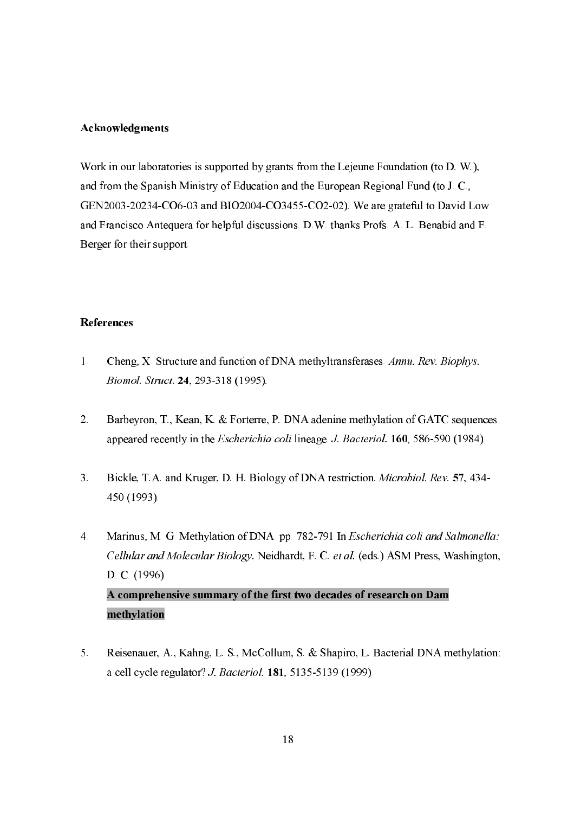## Acknowledgments

Work in our laboratories is supported by grants from the Lejeune Foundation (to  $D$ . W.), and from the Spanish Ministry of Education and the European Regional Fund (to J. C., GEN2003-20234-CO6-03 and BIO2004-CO3455-CO2-02). We are grateful to David Low and Francisco Antequera for helpful discussions. D.W. thanks Profs. A. L. Benabid and F. Berger for their support.

# **References**

- $1<sup>1</sup>$ Cheng, X. Structure and function of DNA methyltransferases. Annu. Rev. Biophys. Biomol. Struct. 24, 293-318 (1995).
- $2<sup>1</sup>$ Barbeyron, T., Kean, K. & Forterre, P. DNA adenine methylation of GATC sequences appeared recently in the *Escherichia coli* lineage *J. Bacteriol*. **160**, 586-590 (1984).
- $3<sup>1</sup>$ Bickle, T.A. and Kruger, D. H. Biology of DNA restriction. *Microbiol. Rev.* 57, 434-450 (1993).
- Marinus, M. G. Methylation of DNA. pp. 782-791 In Escherichia coli and Salmonella:  $\overline{4}$ Cellular and Molecular Biology. Neidhardt, F. C. et al. (eds.) ASM Press, Washington, D. C. (1996). A comprehensive summary of the first two decades of research on Dam methylation
- $\overline{5}$ Reisenauer, A., Kahng, L. S., McCollum, S. & Shapiro, L. Bacterial DNA methylation: a cell cycle regulator? *J. Bacteriol*. **181**, 5135-5139 (1999).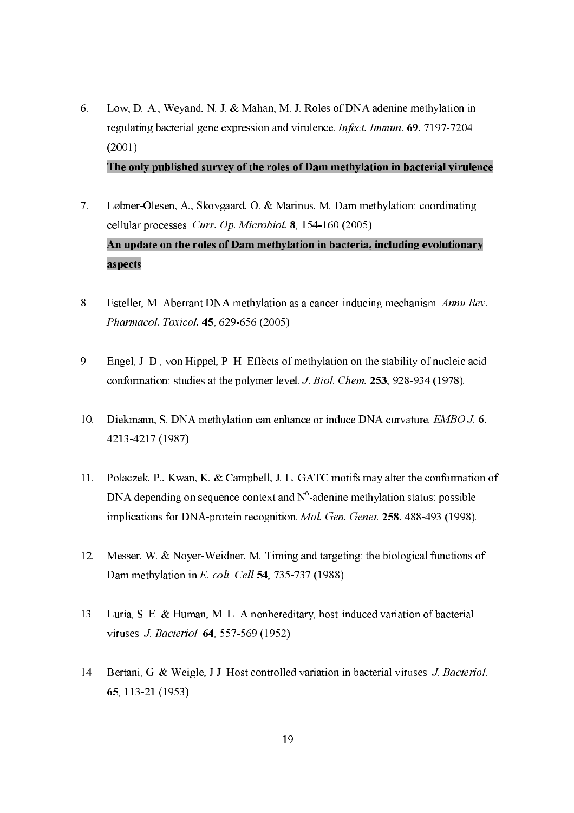Low, D. A., Weyand, N. J. & Mahan, M. J. Roles of DNA adenine methylation in 6. regulating bacterial gene expression and virulence *Infect. Immun.* 69, 7197-7204  $(2001)$ .

The only published survey of the roles of Dam methylation in bacterial virulence

- $7<sub>1</sub>$ Løbner-Olesen, A., Skovgaard, O. & Marinus, M. Dam methylation: coordinating cellular processes. Curr. Op. Microbiol. 8, 154-160 (2005). An update on the roles of Dam methylation in bacteria, including evolutionary aspects
- Esteller, M. Aberrant DNA methylation as a cancer-inducing mechanism. Annu Rev. 8. Pharmacol. Toxicol. 45, 629-656 (2005).
- 9. Engel, J. D., von Hippel, P. H. Effects of methylation on the stability of nucleic acid conformation: studies at the polymer level. J. Biol. Chem. 253, 928-934 (1978).
- $10<sup>1</sup>$ Diekmann, S. DNA methylation can enhance or induce DNA curvature. *EMBO J.* 6, 4213-4217 (1987).
- Polaczek, P., Kwan, K. & Campbell, J. L. GATC motifs may alter the conformation of  $11.$ DNA depending on sequence context and  $N^6$ -adenine methylation status: possible implications for DNA-protein recognition. Mol. Gen. Genet. 258, 488-493 (1998).
- Messer, W. & Nover-Weidner, M. Timing and targeting: the biological functions of  $12.$ Dam methylation in E. coli. Cell 54, 735-737 (1988).
- Luria, S. E. & Human, M. L. A nonhereditary, host-induced variation of bacterial 13. viruses J. Bacteriol 64, 557-569 (1952).
- Bertani, G. & Weigle, J.J. Host controlled variation in bacterial viruses. J. Bacteriol.  $14$ 65, 113-21 (1953).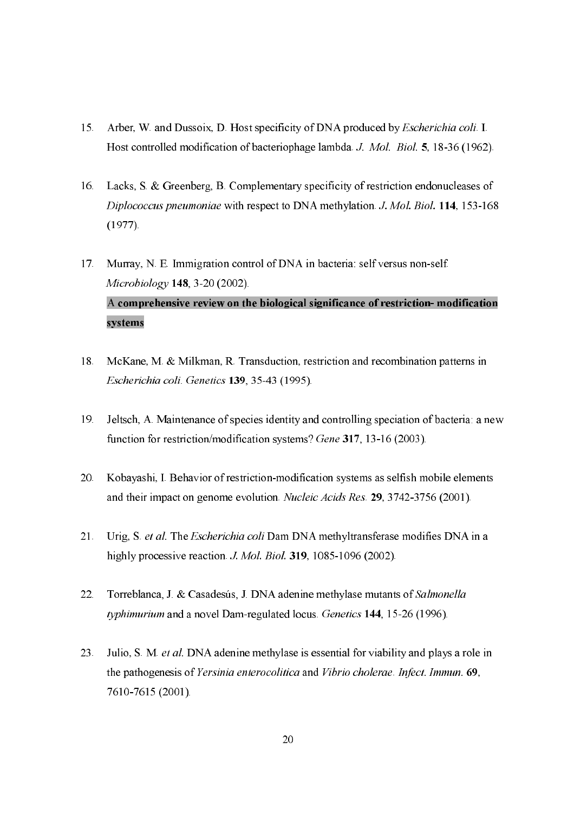- Arber, W and Dussoix, D. Host specificity of DNA produced by *Escherichia coli*. I.  $15<sub>1</sub>$ Host controlled modification of bacteriophage lambda J. Mol. Biol. 5, 18-36 (1962).
- Lacks, S. & Greenberg, B. Complementary specificity of restriction endonucleases of  $16.$ Diplococcus pneumoniae with respect to DNA methylation. J. Mol. Biol. 114, 153-168  $(1977)$ .
- Murray, N. E. Immigration control of DNA in bacteria: self versus non-self.  $17<sub>1</sub>$ Microbiology 148, 3-20 (2002). A comprehensive review on the biological significance of restriction- modification systems
- McKane, M. & Milkman, R. Transduction, restriction and recombination patterns in 18. Escherichia coli. Genetics 139, 35-43 (1995).
- Jeltsch, A. Maintenance of species identity and controlling speciation of bacteria: a new 19. function for restriction/modification systems? Gene 317, 13-16 (2003).
- $20.$ Kobayashi, I. Behavior of restriction-modification systems as selfish mobile elements and their impact on genome evolution. Nucleic Acids Res. 29, 3742-3756 (2001).
- $21.$ Urig, S. et al. The Escherichia coli Dam DNA methyltransferase modifies DNA in a highly processive reaction J. Mol. Biol. 319, 1085-1096 (2002).
- Torreblanca, J. & Casadesús, J. DNA adenine methylase mutants of Salmonella  $22.$ typhimurium and a novel Dam-regulated locus. Genetics 144, 15-26 (1996).
- Julio, S. M. et al. DNA adenine methylase is essential for viability and plays a role in 23. the pathogenesis of Yersinia enterocolitica and Vibrio cholerae. Infect. Immun. 69. 7610-7615 (2001).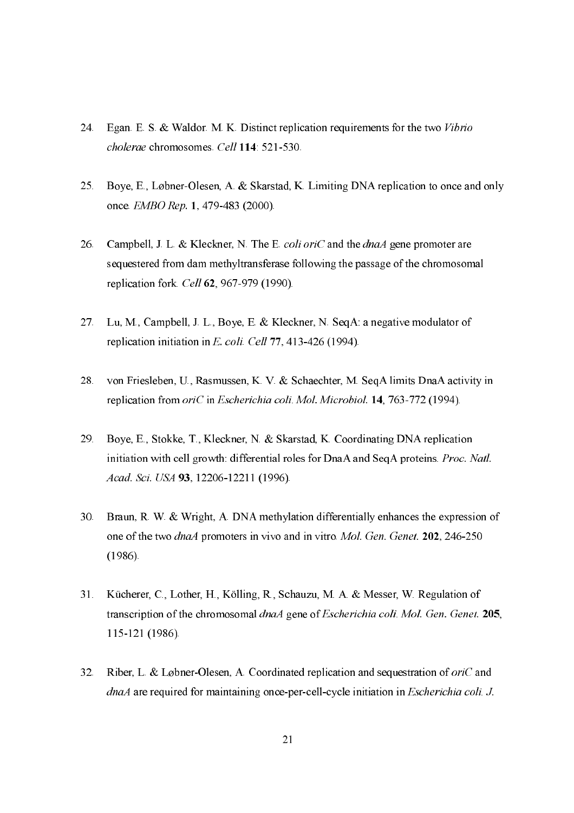- Egan. E. S. & Waldor. M. K. Distinct replication requirements for the two Vibrio  $24$ cholerae chromosomes. Cell 114: 521-530.
- $25.$ Boye, E., Løbner-Olesen, A. & Skarstad, K. Limiting DNA replication to once and only once. EMBO Rep. 1, 479-483 (2000).
- Campbell, J. L. & Kleckner, N. The E. coli oriC and the dnaA gene promoter are 26. sequestered from dam methyltransferase following the passage of the chromosomal replication fork. Cell 62, 967-979 (1990).
- $27<sub>1</sub>$ Lu, M., Campbell, J. L., Boye, E. & Kleckner, N. Seq A: a negative modulator of replication initiation in E. coli. Cell 77, 413-426 (1994).
- 28. von Friesleben, U., Rasmussen, K. V. & Schaechter, M. Seq A limits DnaA activity in replication from oriC in Escherichia coli. Mol. Microbiol. 14, 763-772 (1994).
- Boye, E., Stokke, T., Kleckner, N. & Skarstad, K. Coordinating DNA replication 29. initiation with cell growth: differential roles for DnaA and SeqA proteins. Proc. Natl. Acad. Sci. USA 93, 12206-12211 (1996).
- Braun, R. W. & Wright, A. DNA methylation differentially enhances the expression of  $30.$ one of the two *dnaA* promoters in vivo and in vitro. Mol. Gen. Genet. 202, 246-250  $(1986)$ .
- Kücherer, C., Lother, H., Kölling, R., Schauzu, M. A. & Messer, W. Regulation of  $31.$ transcription of the chromosomal dnaA gene of Escherichia coli. Mol. Gen. Genet. 205, 115-121 (1986).
- Riber, L. & Løbner-Olesen, A. Coordinated replication and sequestration of *ori*C and  $32<sup>7</sup>$ *dnaA* are required for maintaining once-per-cell-cycle initiation in *Escherichia coli. J.*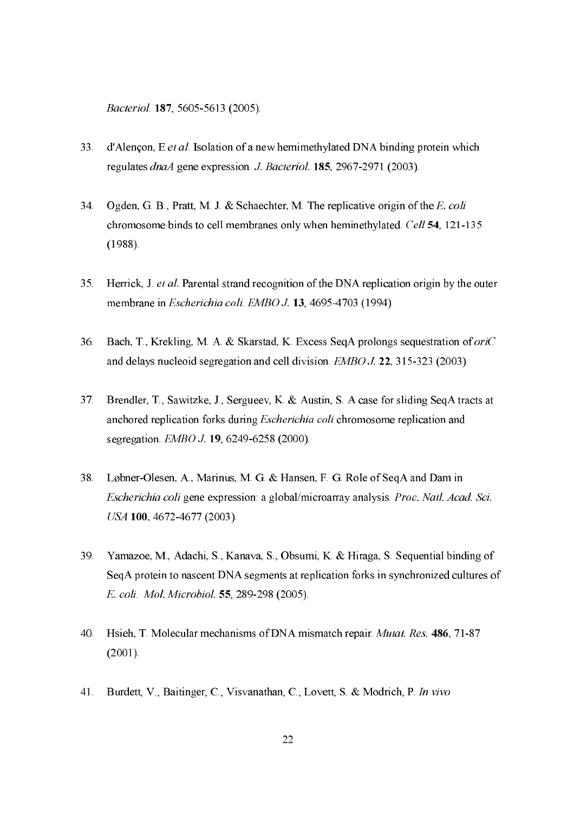*Bacteriol*. **187**, 5605-5613 (2005).

- d'Alençon, E et al. Isolation of a new hemimethylated DNA binding protein which  $33<sup>2</sup>$ regulates *dnaA* gene expression. *J. Bacteriol*. **185**, 2967-2971 (2003).
- Ogden, G. B., Pratt, M. J. & Schaechter, M. The replicative origin of the E. coli 34. chromosome binds to cell membranes only when heminethylated. Cell 54, 121-135  $(1988)$ .
- Herrick, J. et al. Parental strand recognition of the DNA replication origin by the outer  $35<sub>1</sub>$ membrane in *Escherichia coli*, *EMBO J.* 13, 4695-4703 (1994)
- 36. Bach, T., Krekling, M. A. & Skarstad, K. Excess SeqA prolongs sequestration of *oriC* and delays nucleoid segregation and cell division. *EMBO J.* **22**, 315-323 (2003).
- Brendler, T., Sawitzke, J., Sergueev, K. & Austin, S. A case for sliding SeqA tracts at  $37<sub>1</sub>$ anchored replication forks during *Escherichia coli* chromosome replication and segregation, *EMBO J.* **19**, 6249-6258 (2000).
- 38. Løbner-Olesen, A., Marinus, M. G. & Hansen, F. G. Role of SeqA and Dam in Escherichia coli gene expression: a global/microarray analysis. Proc. Natl. Acad. Sci. USA 100, 4672-4677 (2003).
- Yamazoe, M., Adachi, S., Kanaya, S., Obsumi, K. & Hiraga, S. Sequential binding of  $39.$ SeqA protein to nascent DNA segments at replication forks in synchronized cultures of E. coli. Mol. Microbiol. 55, 289-298 (2005).
- $40.$ Hsieh, T. Molecular mechanisms of DNA mismatch repair. Mutat. Res. 486, 71-87  $(2001).$
- Burdett, V., Baitinger, C., Visvanathan, C., Lovett, S. & Modrich, P. In vivo  $41.$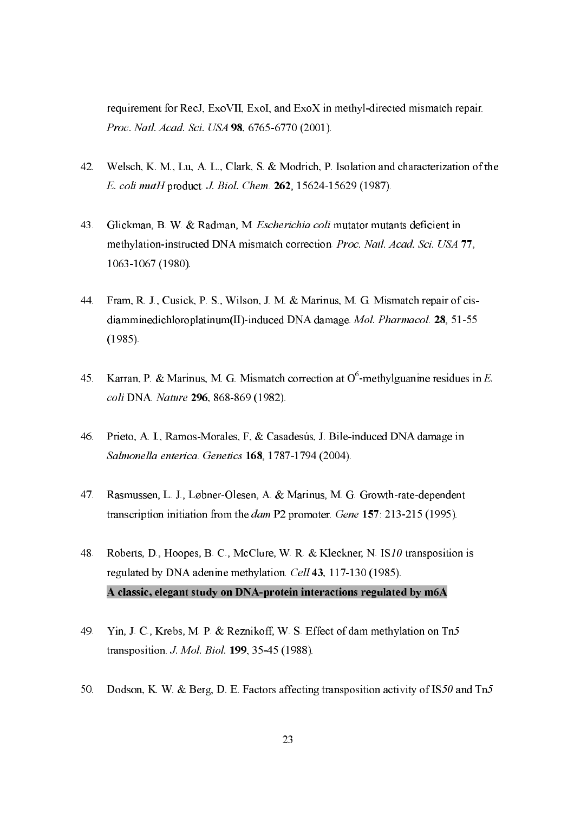requirement for RecJ, ExoVII, ExoI, and ExoX in methyl-directed mismatch repair. Proc. Natl. Acad. Sci. USA 98, 6765-6770 (2001).

- Welsch, K. M., Lu, A. L., Clark, S. & Modrich, P. Isolation and characterization of the  $42.$ E. coli mutH product. J. Biol. Chem. 262, 15624-15629 (1987).
- Glickman, B. W. & Radman, M. Escherichia coli mutator mutants deficient in  $43.$ methylation-instructed DNA mismatch correction. Proc. Natl. Acad. Sci. USA 77, 1063-1067 (1980).
- 44. Fram, R. J., Cusick, P. S., Wilson, J. M. & Marinus, M. G. Mismatch repair of cisdiamminedichloroplatinum(II)-induced DNA damage. Mol. Pharmacol. 28, 51-55  $(1985)$ .
- Karran, P. & Marinus, M. G. Mismatch correction at  $O^6$ -methylguanine residues in E.  $45<sub>1</sub>$ coli DNA. Nature 296, 868-869 (1982).
- Prieto, A. I., Ramos-Morales, F. & Casadesús, J. Bile-induced DNA damage in 46. Salmonella enterica. Genetics 168, 1787-1794 (2004).
- Rasmussen, L. J., Løbner-Olesen, A. & Marinus, M. G. Growth-rate-dependent  $47<sub>1</sub>$ transcription initiation from the *dam* P2 promoter. *Gene* 157: 213-215 (1995).
- Roberts, D., Hoopes, B. C., McClure, W. R. & Kleckner, N. IS10 transposition is 48. regulated by DNA adenine methylation. Cell 43, 117-130 (1985). A classic, elegant study on DNA-protein interactions regulated by m6A
- Yin, J. C., Krebs, M. P. & Reznikoff, W. S. Effect of dam methylation on Tn5 49. transposition, J. Mol. Biol. 199, 35-45 (1988).
- Dodson, K. W. & Berg, D. E. Factors affecting transposition activity of IS50 and Tn5  $50.$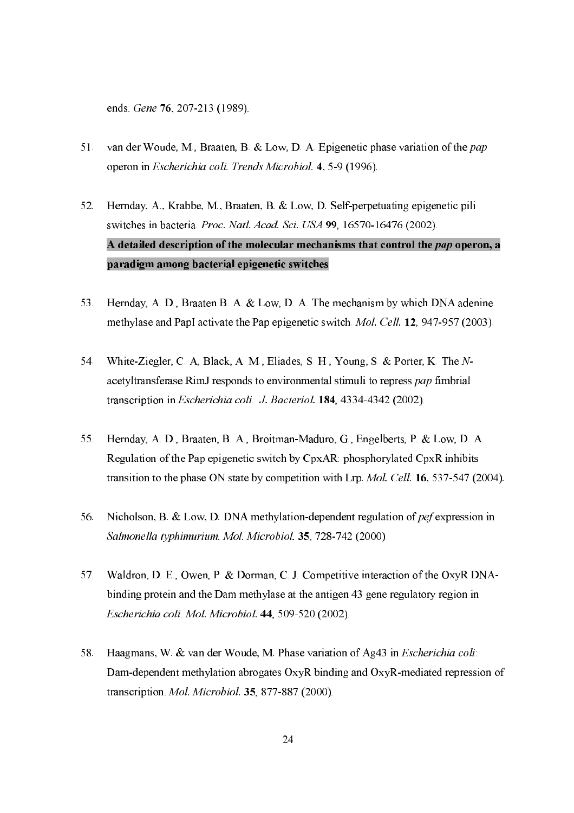ends. Gene 76, 207-213 (1989).

- $51.$ van der Woude, M., Braaten, B. & Low, D. A. Epigenetic phase variation of the pap operon in Escherichia coli. Trends Microbiol. 4, 5-9 (1996).
- Hernday, A., Krabbe, M., Braaten, B. & Low, D. Self-perpetuating epigenetic pili 52. switches in bacteria. Proc. Natl. Acad. Sci. USA 99, 16570-16476 (2002). A detailed description of the molecular mechanisms that control the pap operon, a paradigm among bacterial epigenetic switches
- Hernday, A. D., Braaten B. A. & Low, D. A. The mechanism by which DNA adenine 53. methylase and PapI activate the Pap epigenetic switch *Mol. Cell.* 12, 947-957 (2003).
- White-Ziegler, C. A, Black, A. M., Eliades, S. H., Young, S. & Porter, K. The N-54. acetyltransferase RimJ responds to environmental stimuli to repress pap fimbrial transcription in *Escherichia coli. J. Bacteriol.* 184, 4334-4342 (2002).
- Hernday, A. D., Braaten, B. A., Broitman-Maduro, G., Engelberts, P. & Low, D. A. 55. Regulation of the Pap epigenetic switch by CpxAR: phosphorylated CpxR inhibits transition to the phase ON state by competition with Lrp. Mol. Cell. 16, 537-547 (2004).
- Nicholson, B. & Low, D. DNA methylation-dependent regulation of  $\text{pef}$  expression in 56. Salmonella typhimurium. Mol. Microbiol. 35, 728-742 (2000).
- Waldron, D. E., Owen, P. & Dorman, C. J. Competitive interaction of the OxyR DNA-57. binding protein and the Dam methylase at the antigen 43 gene regulatory region in Escherichia coli. Mol. Microbiol. 44, 509-520 (2002).
- Haagmans, W. & van der Woude, M. Phase variation of Ag43 in *Escherichia coli*: 58 Dam-dependent methylation abrogates OxyR binding and OxyR-mediated repression of transcription. Mol. Microbiol. 35, 877-887 (2000).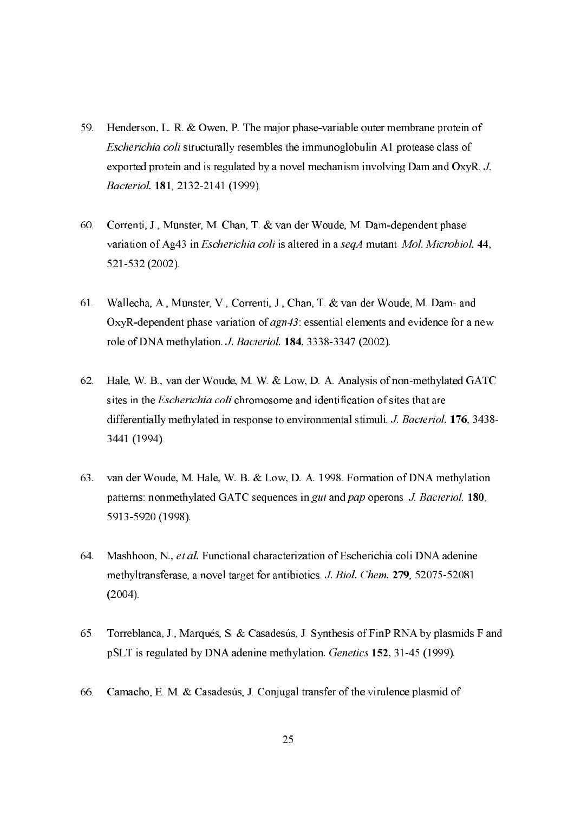- Henderson, L. R. & Owen, P. The major phase-variable outer membrane protein of 59. *Escherichia coli* structurally resembles the immunoglobulin A1 protease class of exported protein and is regulated by a novel mechanism involving Dam and OxyR. J. Bacteriol. 181, 2132-2141 (1999).
- Correnti, J., Munster, M. Chan, T. & van der Woude, M. Dam-dependent phase  $60.$ variation of Ag43 in *Escherichia coli* is altered in a seqA mutant. Mol. Microbiol. 44, 521-532 (2002).
- Wallecha, A., Munster, V., Correnti, J., Chan, T. & van der Woude, M. Dam- and 61. OxyR-dependent phase variation of *agn43* essential elements and evidence for a new role of DNA methylation. J. Bacteriol. 184, 3338-3347 (2002).
- 62. Hale, W. B., van der Woude, M. W. & Low, D. A. Analysis of non-methylated GATC sites in the *Escherichia coli* chromosome and identification of sites that are differentially methylated in response to environmental stimuli. J. Bacteriol. 176, 3438-3441 (1994).
- 63. van der Woude, M. Hale, W. B. & Low, D. A. 1998. Formation of DNA methylation patterns: nonmethylated GATC sequences in gut and pap operons. J. Bacteriol. 180, 5913-5920 (1998).
- Mashhoon, N., et al. Functional characterization of Escherichia coli DNA adenine 64. methyltransferase, a novel target for antibiotics. J. Biol. Chem. 279, 52075-52081  $(2004).$
- 65. Torreblanca, J., Marqués, S. & Casadesús, J. Synthesis of FinP RNA by plasmids F and pSLT is regulated by DNA adenine methylation. *Genetics* 152, 31-45 (1999).
- Camacho, E. M. & Casadesús, J. Conjugal transfer of the virulence plasmid of 66.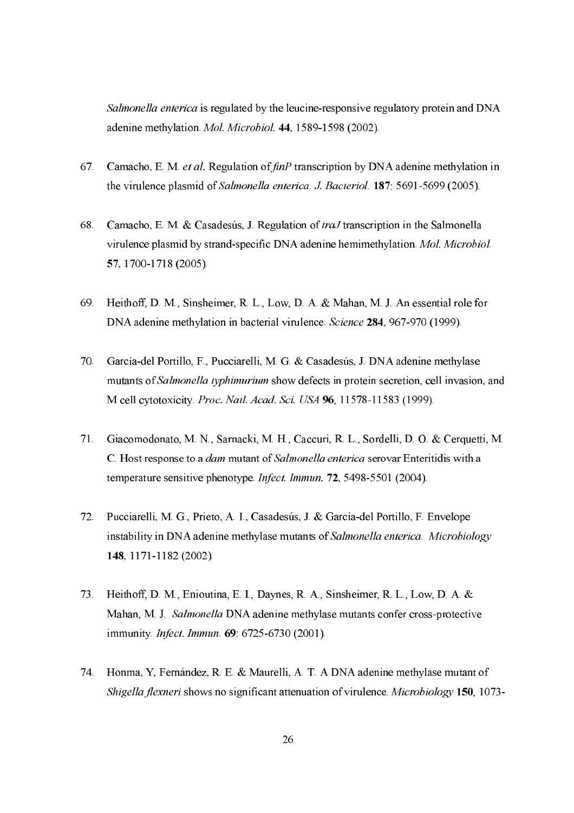Salmonella enterica is regulated by the leucine-responsive regulatory protein and DNA adenine methylation. *Mol. Microbiol.* 44, 1589-1598 (2002).

- Camacho, E. M. et al. Regulation of finP transcription by DNA adenine methylation in  $67.$ the virulence plasmid of Salmonella enterica, J. Bacteriol, 187: 5691-5699 (2005).
- Camacho, E. M. & Casadesús, J. Regulation of traJ transcription in the Salmonella 68. virulence plasmid by strand-specific DNA adenine hemimethylation. Mol. Microbiol. 57, 1700-1718 (2005).
- Heithoff, D. M., Sinsheimer, R. L., Low, D. A. & Mahan, M. J. An essential role for 69. DNA adenine methylation in bacterial virulence. Science 284, 967-970 (1999).
- García-del Portillo, F., Pucciarelli, M. G. & Casadesús, J. DNA adenine methylase  $70.$ mutants of Salmonella typhimurium show defects in protein secretion, cell invasion, and M cell cytotoxicity. Proc. Natl. Acad. Sci. USA 96, 11578-11583 (1999).
- Giacomodonato, M. N., Sarnacki, M. H., Caccuri, R. L., Sordelli, D. O. & Cerquetti, M. 71. C. Host response to a *dam* mutant of *Salmonella enterica* serovar Enteritidis with a temperature sensitive phenotype. Infect. Immun. 72, 5498-5501 (2004).
- Pucciarelli, M. G., Prieto, A. I., Casadesús, J. & García-del Portillo, F. Envelope  $72.$ instability in DNA adenine methylase mutants of Salmonella enterica. Microbiology 148. 1171-1182 (2002).
- Heithoff, D. M., Enioutina, E. I., Daynes, R. A., Sinsheimer, R. L., Low, D. A. & 73. Mahan, M. J. Salmonella DNA adenine methylase mutants confer cross-protective immunity *Infect. Immun*, 69 6725-6730 (2001).
- Honma, Y, Fernández, R. E. & Maurelli, A. T. A DNA adenine methylase mutant of 74 Shigella flexneri shows no significant attenuation of virulence. Microbiology 150, 1073-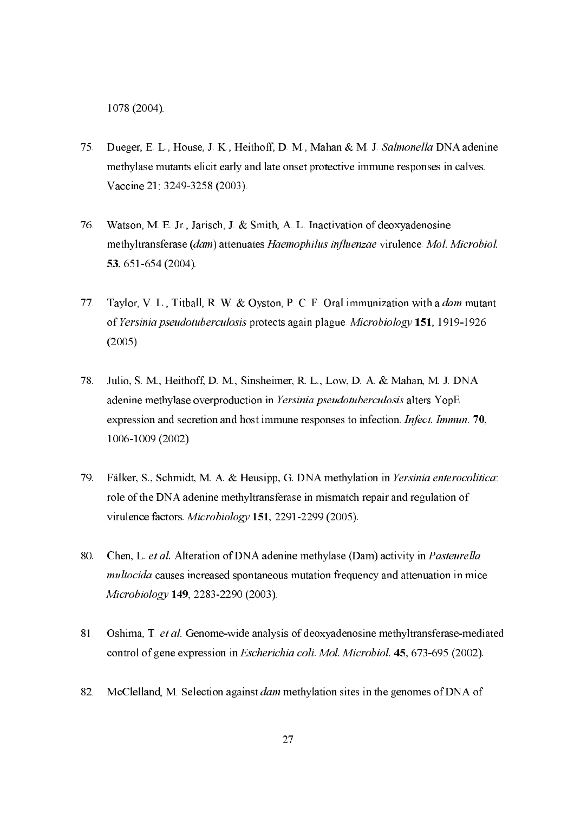1078 (2004).

- Dueger, E. L., House, J. K., Heithoff, D. M., Mahan & M. J. Salmonella DNA adenine 75. methylase mutants elicit early and late onset protective immune responses in calves. Vaccine 21: 3249-3258 (2003).
- Watson, M. E. Jr., Jarisch, J. & Smith, A. L. Inactivation of deoxyadenosine 76. methyltransferase (dam) attenuates Haemophilus influenzae virulence. Mol. Microbiol. 53, 651-654 (2004).
- Taylor, V. L., Titball, R. W. & Oyston, P. C. F. Oral immunization with a dam mutant  $77<sub>1</sub>$ of Yersinia pseudotuberculosis protects again plague. Microbiology 151, 1919-1926  $(2005)$
- 78. Julio, S. M., Heithoff, D. M., Sinsheimer, R. L., Low, D. A. & Mahan, M. J. DNA adenine methylase overproduction in Yersinia pseudotuberculosis alters YopE expression and secretion and host immune responses to infection. *Infect. Immun.* 70, 1006-1009 (2002).
- 79. Fälker, S., Schmidt, M. A. & Heusipp, G. DNA methylation in Yersinia enterocolitica: role of the DNA adenine methyltransferase in mismatch repair and regulation of virulence factors. Microbiology 151, 2291-2299 (2005).
- 80. Chen, L. et al. Alteration of DNA adenine methylase (Dam) activity in Pasteurella multocida causes increased spontaneous mutation frequency and attenuation in mice. Microbiology 149, 2283-2290 (2003).
- 81. Oshima, T. et al. Genome-wide analysis of deoxyadenosine methyltransferase-mediated control of gene expression in *Escherichia coli*, *Mol. Microbiol.* 45, 673-695 (2002).
- 82. McClelland, M. Selection against *dam* methylation sites in the genomes of DNA of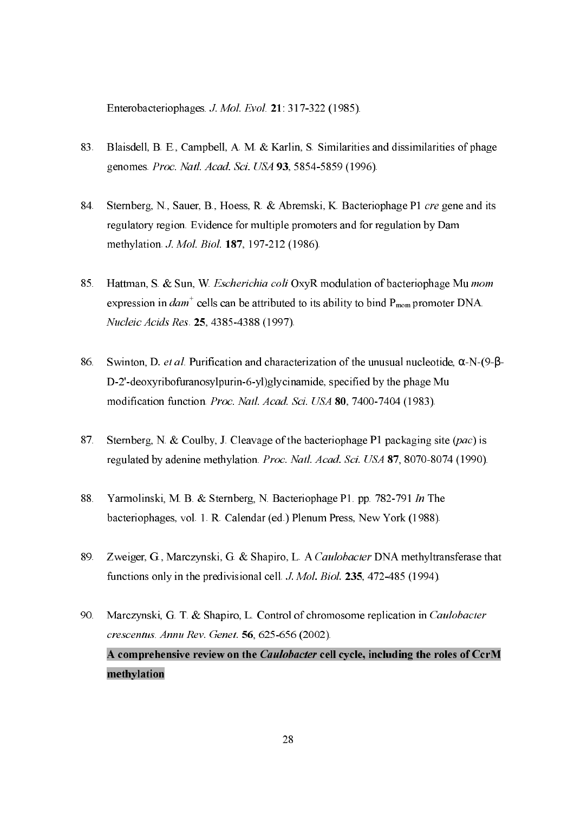Enterobacteriophages J. Mol. Evol. 21: 317-322 (1985).

- 83. Blaisdell, B. E., Campbell, A. M. & Karlin, S. Similarities and dissimilarities of phage genomes. Proc. Natl. Acad. Sci. USA 93, 5854-5859 (1996).
- Sternberg, N., Sauer, B., Hoess, R. & Abremski, K. Bacteriophage P1 cre gene and its 84. regulatory region. Evidence for multiple promoters and for regulation by Dam methylation. J. Mol. Biol. 187, 197-212 (1986).
- Hattman, S. & Sun, W. Escherichia coli OxyR modulation of bacteriophage Mu mom 85. expression in  $\text{dam}^+$  cells can be attributed to its ability to bind  $P_{\text{mom}}$  promoter DNA. Nucleic Acids Res. 25, 4385-4388 (1997).
- Swinton, D. et al. Purification and characterization of the unusual nucleotide,  $\alpha$ -N-(9- $\beta$ -86. D-2'-deoxyribofuranosylpurin-6-yl)glycinamide, specified by the phage Mu modification function. Proc. Natl. Acad. Sci. USA 80, 7400-7404 (1983).
- Sternberg, N. & Coulby, J. Cleavage of the bacteriophage P1 packaging site (pac) is  $87<sub>1</sub>$ regulated by adenine methylation. Proc. Natl. Acad. Sci. USA 87, 8070-8074 (1990).
- Yarmolinski, M. B. & Sternberg, N. Bacteriophage P1, pp. 782-791 In The 88. bacteriophages, vol. 1. R. Calendar (ed.) Plenum Press, New York (1988).
- 89. Zweiger, G., Marczynski, G. & Shapiro, L. A Caulobacter DNA methyltransferase that functions only in the predivisional cell. J. Mol. Biol. 235, 472-485 (1994).
- $90<sub>1</sub>$ Marczynski, G. T. & Shapiro, L. Control of chromosome replication in Caulobacter crescentus. Annu Rev. Genet. 56, 625-656 (2002). A comprehensive review on the Caulobacter cell cycle, including the roles of CcrM methylation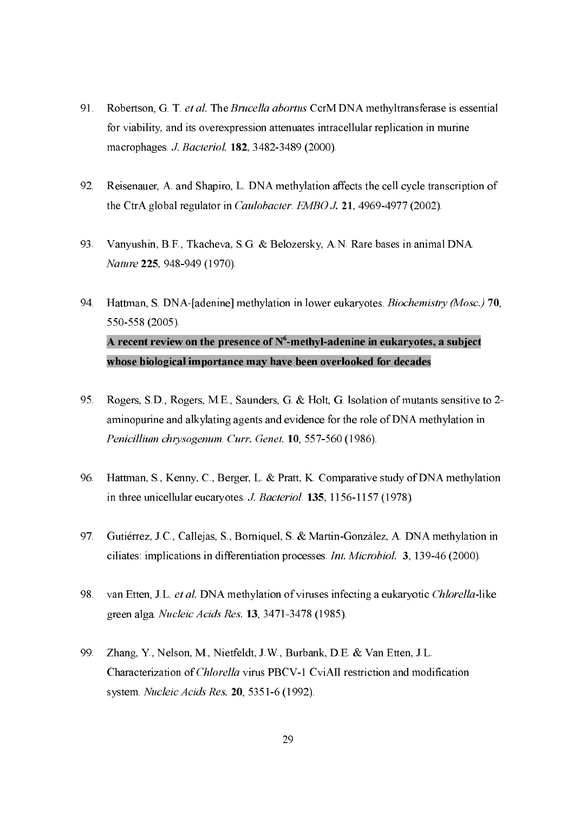- Robertson, G. T. et al. The Brucella abortus CcrM DNA methyltransferase is essential 91. for viability, and its overexpression attenuates intracellular replication in murine macrophages. J. Bacteriol. 182, 3482-3489 (2000).
- 92. Reisenauer, A. and Shapiro, L. DNA methylation affects the cell cycle transcription of the CtrA global regulator in *Caulobacter*. *EMBO J.* 21, 4969-4977 (2002).
- Vanyushin, B.F., Tkacheva, S.G. & Belozersky, A.N. Rare bases in animal DNA. 93. Nature 225, 948-949 (1970).
- Hattman, S. DNA-[adenine] methylation in lower eukaryotes. Biochemistry (Mosc.) 70, 94. 550-558 (2005). A recent review on the presence of  $N^6$ -methyl-adenine in eukaryotes, a subject whose biological importance may have been overlooked for decades
- Rogers, S.D., Rogers, M.E., Saunders, G. & Holt, G. Isolation of mutants sensitive to 2-95. aminopurine and alkylating agents and evidence for the role of DNA methylation in Penicillium chrysogenum, Curr. Genet. 10, 557-560 (1986).
- 96. Hattman, S., Kenny, C., Berger, L. & Pratt, K. Comparative study of DNA methylation in three unicellular eucaryotes. J. Bacteriol. 135, 1156-1157 (1978).
- Gutiérrez, J.C., Calleias, S., Borniquel, S. & Martin-González, A. DNA methylation in 97 ciliates: implications in differentiation processes. *Int. Microbiol.* 3, 139-46 (2000).
- van Etten, J.L. et al. DNA methylation of viruses infecting a eukaryotic Chlorella-like 98. green alga. Nucleic Acids Res. 13, 3471-3478 (1985).
- Zhang, Y., Nelson, M., Nietfeldt, J.W., Burbank, D.E. & Van Etten, J.L. 99 Characterization of *Chlorella* virus PBCV-1 CviAII restriction and modification system. Nucleic Acids Res. 20, 5351-6 (1992).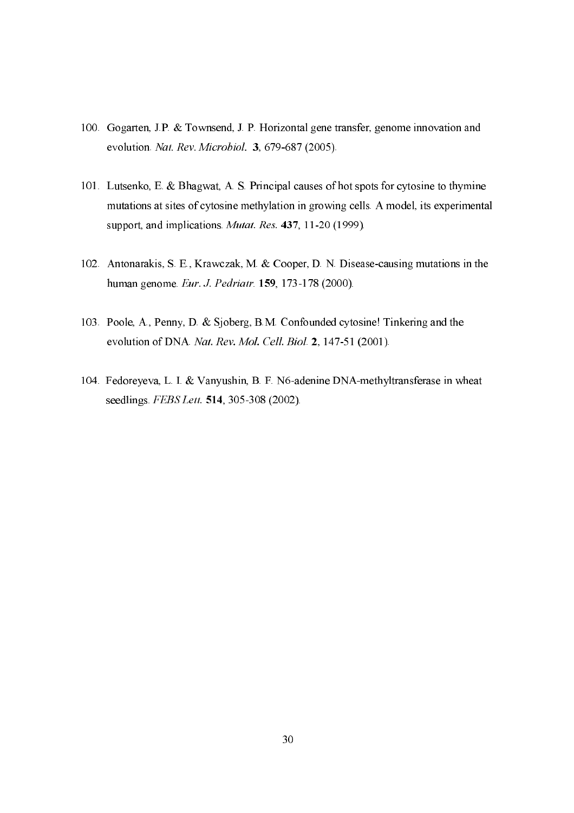- 100. Gogarten, J.P. & Townsend, J. P. Horizontal gene transfer, genome innovation and evolution. Nat. Rev. Microbiol. 3, 679-687 (2005).
- 101. Lutsenko, E. & Bhagwat, A. S. Principal causes of hot spots for cytosine to thymine mutations at sites of cytosine methylation in growing cells. A model, its experimental support, and implications. Mutat. Res. 437, 11-20 (1999).
- 102. Antonarakis, S. E., Krawczak, M. & Cooper, D. N. Disease-causing mutations in the human genome. Eur. J. Pedriatr. 159, 173-178 (2000).
- 103. Poole, A., Penny, D. & Sjoberg, B.M. Confounded cytosine! Tinkering and the evolution of DNA. Nat. Rev. Mol. Cell. Biol. 2, 147-51 (2001).
- 104. Fedoreyeva, L. I. & Vanyushin, B. F. N6-adenine DNA-methyltransferase in wheat seedlings. FEBS Lett. 514, 305-308 (2002).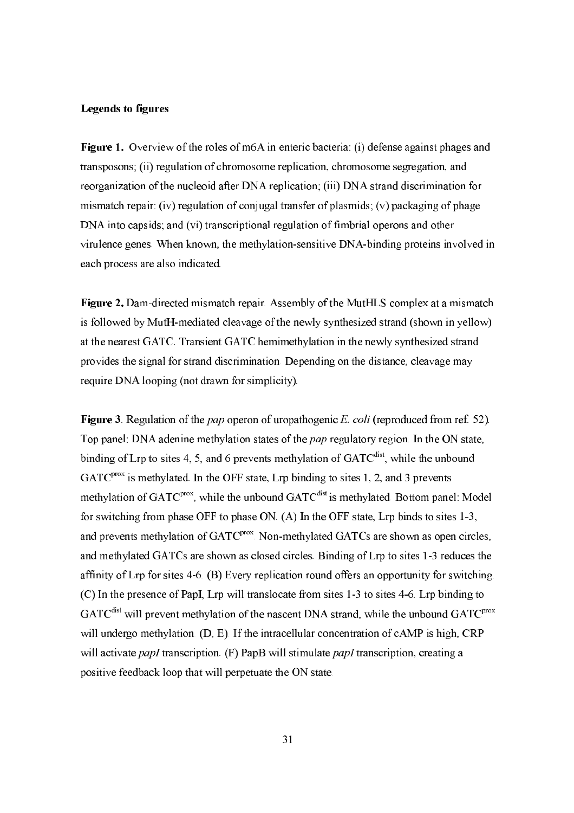#### **Legends to figures**

Figure 1. Overview of the roles of m6A in enteric bacteria: (i) defense against phages and transposons; (ii) regulation of chromosome replication, chromosome segregation, and reorganization of the nucleoid after DNA replication; (iii) DNA strand discrimination for mismatch repair: (iv) regulation of conjugal transfer of plasmids; (v) packaging of phage DNA into capsids; and (vi) transcriptional regulation of fimbrial operons and other virulence genes. When known, the methylation-sensitive DNA-binding proteins involved in each process are also indicated.

Figure 2. Dam-directed mismatch repair. Assembly of the MutHLS complex at a mismatch is followed by MutH-mediated cleavage of the newly synthesized strand (shown in yellow) at the nearest GATC. Transient GATC hemimethylation in the newly synthesized strand provides the signal for strand discrimination. Depending on the distance, cleavage may require DNA looping (not drawn for simplicity).

Figure 3. Regulation of the pap operon of uropathogenic E. coli (reproduced from ref. 52). Top panel: DNA adenine methylation states of the *pap* regulatory region. In the ON state, binding of Lrp to sites 4, 5, and 6 prevents methylation of GATC<sup>dist</sup>, while the unbound  $GATC<sup>prox</sup>$  is methylated. In the OFF state, Lrp binding to sites 1, 2, and 3 prevents methylation of GATC<sup>prox</sup>, while the unbound GATC<sup>dist</sup> is methylated. Bottom panel: Model for switching from phase OFF to phase ON. (A) In the OFF state, Lrp binds to sites 1-3, and prevents methylation of GATC<sup>prox</sup>. Non-methylated GATCs are shown as open circles, and methylated GATCs are shown as closed circles. Binding of Lrp to sites 1-3 reduces the affinity of Lrp for sites 4-6. (B) Every replication round offers an opportunity for switching. (C) In the presence of PapI, Lrp will translocate from sites 1-3 to sites 4-6. Lrp binding to  $GATC<sup>dist</sup>$  will prevent methylation of the nascent DNA strand, while the unbound  $GATC<sup>prox</sup>$ will undergo methylation.  $(D, E)$ . If the intracellular concentration of cAMP is high, CRP will activate papl transcription.  $(F)$  PapB will stimulate papl transcription, creating a positive feedback loop that will perpetuate the ON state.